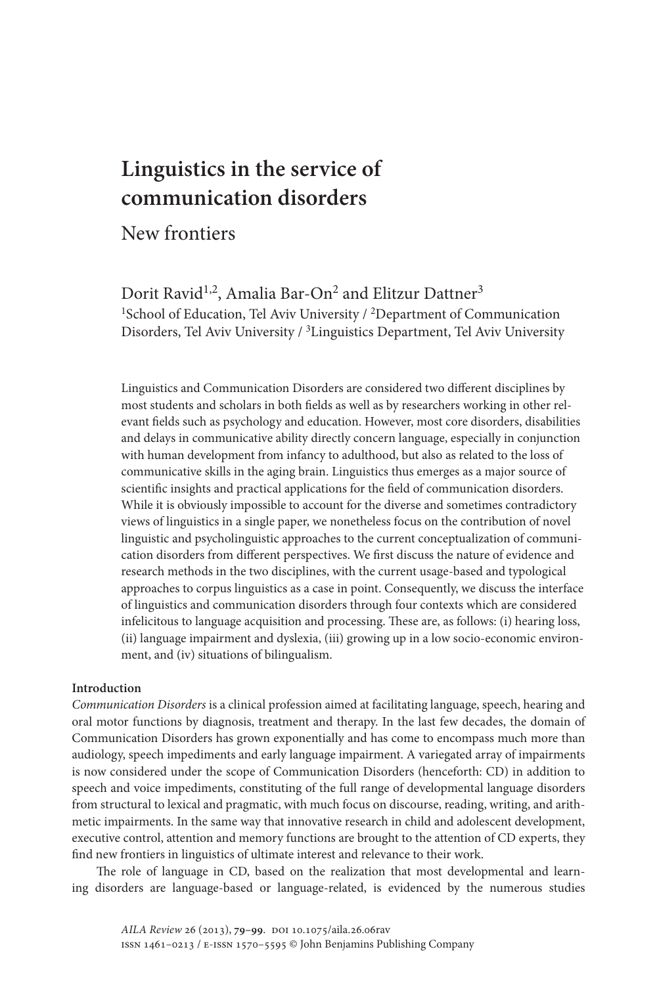# **Linguistics in the service of communication disorders**

New frontiers

# Dorit Ravid<sup>1,2</sup>, Amalia Bar-On<sup>2</sup> and Elitzur Dattner<sup>3</sup>

<sup>1</sup>School of Education, Tel Aviv University / <sup>2</sup>Department of Communication Disorders, Tel Aviv University / 3Linguistics Department, Tel Aviv University

Linguistics and Communication Disorders are considered two different disciplines by most students and scholars in both fields as well as by researchers working in other relevant fields such as psychology and education. However, most core disorders, disabilities and delays in communicative ability directly concern language, especially in conjunction with human development from infancy to adulthood, but also as related to the loss of communicative skills in the aging brain. Linguistics thus emerges as a major source of scientific insights and practical applications for the field of communication disorders. While it is obviously impossible to account for the diverse and sometimes contradictory views of linguistics in a single paper, we nonetheless focus on the contribution of novel linguistic and psycholinguistic approaches to the current conceptualization of communication disorders from different perspectives. We first discuss the nature of evidence and research methods in the two disciplines, with the current usage-based and typological approaches to corpus linguistics as a case in point. Consequently, we discuss the interface of linguistics and communication disorders through four contexts which are considered infelicitous to language acquisition and processing. These are, as follows: (i) hearing loss, (ii) language impairment and dyslexia, (iii) growing up in a low socio-economic environment, and (iv) situations of bilingualism.

## **Introduction**

*Communication Disorders* is a clinical profession aimed at facilitating language, speech, hearing and oral motor functions by diagnosis, treatment and therapy. In the last few decades, the domain of Communication Disorders has grown exponentially and has come to encompass much more than audiology, speech impediments and early language impairment. A variegated array of impairments is now considered under the scope of Communication Disorders (henceforth: CD) in addition to speech and voice impediments, constituting of the full range of developmental language disorders from structural to lexical and pragmatic, with much focus on discourse, reading, writing, and arithmetic impairments. In the same way that innovative research in child and adolescent development, executive control, attention and memory functions are brought to the attention of CD experts, they find new frontiers in linguistics of ultimate interest and relevance to their work.

The role of language in CD, based on the realization that most developmental and learning disorders are language-based or language-related, is evidenced by the numerous studies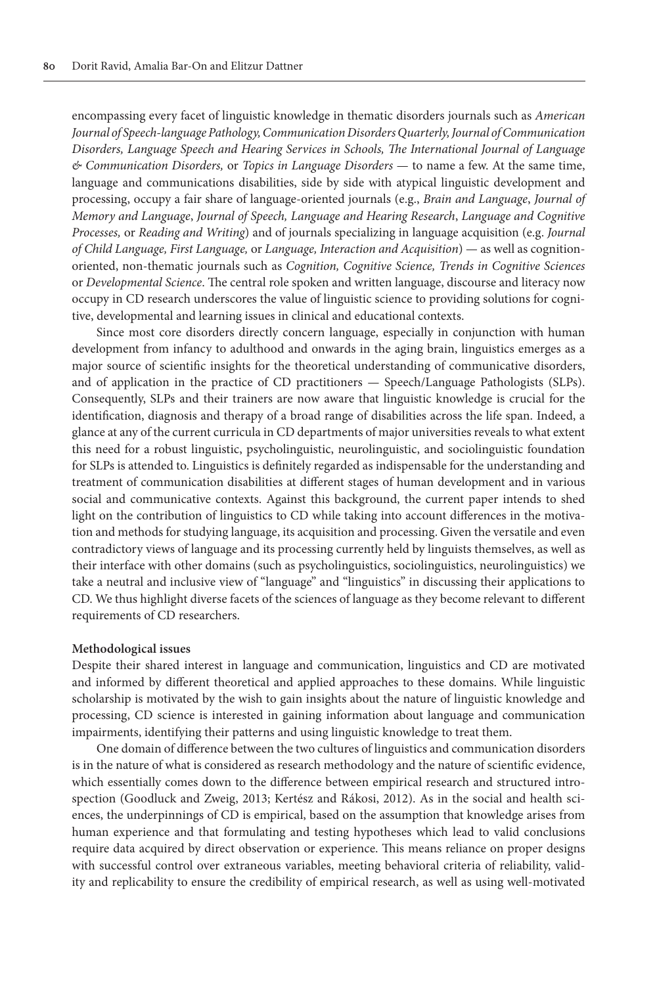encompassing every facet of linguistic knowledge in thematic disorders journals such as *American Journal of Speech-language Pathology, Communication Disorders Quarterly, Journal of Communication Disorders, Language Speech and Hearing Services in Schools, The International Journal of Language & Communication Disorders,* or *Topics in Language Disorders* — to name a few. At the same time, language and communications disabilities, side by side with atypical linguistic development and processing, occupy a fair share of language-oriented journals (e.g., *Brain and Language*, *Journal of Memory and Language*, *Journal of Speech, Language and Hearing Research*, *Language and Cognitive Processes,* or *Reading and Writing*) and of journals specializing in language acquisition (e.g. *Journal of Child Language, First Language,* or *Language, Interaction and Acquisition*) — as well as cognitionoriented, non-thematic journals such as *Cognition, Cognitive Science, Trends in Cognitive Sciences* or *Developmental Science*. The central role spoken and written language, discourse and literacy now occupy in CD research underscores the value of linguistic science to providing solutions for cognitive, developmental and learning issues in clinical and educational contexts.

Since most core disorders directly concern language, especially in conjunction with human development from infancy to adulthood and onwards in the aging brain, linguistics emerges as a major source of scientific insights for the theoretical understanding of communicative disorders, and of application in the practice of CD practitioners — Speech/Language Pathologists (SLPs). Consequently, SLPs and their trainers are now aware that linguistic knowledge is crucial for the identification, diagnosis and therapy of a broad range of disabilities across the life span. Indeed, a glance at any of the current curricula in CD departments of major universities reveals to what extent this need for a robust linguistic, psycholinguistic, neurolinguistic, and sociolinguistic foundation for SLPs is attended to. Linguistics is definitely regarded as indispensable for the understanding and treatment of communication disabilities at different stages of human development and in various social and communicative contexts. Against this background, the current paper intends to shed light on the contribution of linguistics to CD while taking into account differences in the motivation and methods for studying language, its acquisition and processing. Given the versatile and even contradictory views of language and its processing currently held by linguists themselves, as well as their interface with other domains (such as psycholinguistics, sociolinguistics, neurolinguistics) we take a neutral and inclusive view of "language" and "linguistics" in discussing their applications to CD. We thus highlight diverse facets of the sciences of language as they become relevant to different requirements of CD researchers.

#### **Methodological issues**

Despite their shared interest in language and communication, linguistics and CD are motivated and informed by different theoretical and applied approaches to these domains. While linguistic scholarship is motivated by the wish to gain insights about the nature of linguistic knowledge and processing, CD science is interested in gaining information about language and communication impairments, identifying their patterns and using linguistic knowledge to treat them.

One domain of difference between the two cultures of linguistics and communication disorders is in the nature of what is considered as research methodology and the nature of scientific evidence, which essentially comes down to the difference between empirical research and structured introspection (Goodluck and Zweig, 2013; Kertész and Rákosi, 2012). As in the social and health sciences, the underpinnings of CD is empirical, based on the assumption that knowledge arises from human experience and that formulating and testing hypotheses which lead to valid conclusions require data acquired by direct observation or experience. This means reliance on proper designs with successful control over extraneous variables, meeting behavioral criteria of reliability, validity and replicability to ensure the credibility of empirical research, as well as using well-motivated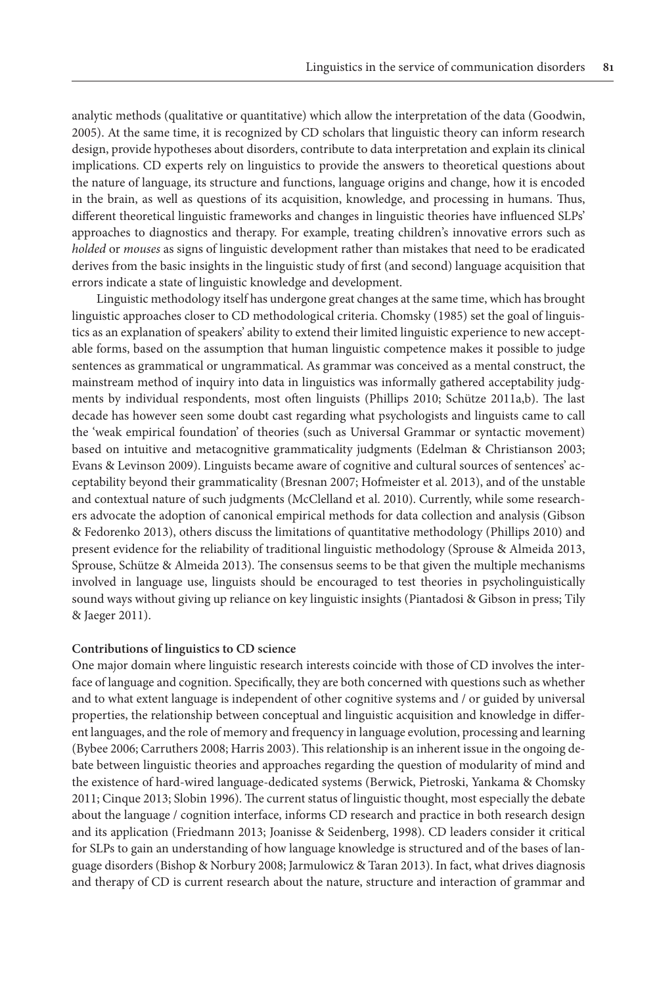analytic methods (qualitative or quantitative) which allow the interpretation of the data (Goodwin, 2005). At the same time, it is recognized by CD scholars that linguistic theory can inform research design, provide hypotheses about disorders, contribute to data interpretation and explain its clinical implications. CD experts rely on linguistics to provide the answers to theoretical questions about the nature of language, its structure and functions, language origins and change, how it is encoded in the brain, as well as questions of its acquisition, knowledge, and processing in humans. Thus, different theoretical linguistic frameworks and changes in linguistic theories have influenced SLPs' approaches to diagnostics and therapy. For example, treating children's innovative errors such as *holded* or *mouses* as signs of linguistic development rather than mistakes that need to be eradicated derives from the basic insights in the linguistic study of first (and second) language acquisition that errors indicate a state of linguistic knowledge and development.

Linguistic methodology itself has undergone great changes at the same time, which has brought linguistic approaches closer to CD methodological criteria. Chomsky (1985) set the goal of linguistics as an explanation of speakers' ability to extend their limited linguistic experience to new acceptable forms, based on the assumption that human linguistic competence makes it possible to judge sentences as grammatical or ungrammatical. As grammar was conceived as a mental construct, the mainstream method of inquiry into data in linguistics was informally gathered acceptability judgments by individual respondents, most often linguists (Phillips 2010; Schütze 2011a,b). The last decade has however seen some doubt cast regarding what psychologists and linguists came to call the 'weak empirical foundation' of theories (such as Universal Grammar or syntactic movement) based on intuitive and metacognitive grammaticality judgments (Edelman & Christianson 2003; Evans & Levinson 2009). Linguists became aware of cognitive and cultural sources of sentences' acceptability beyond their grammaticality (Bresnan 2007; Hofmeister et al. 2013), and of the unstable and contextual nature of such judgments (McClelland et al. 2010). Currently, while some researchers advocate the adoption of canonical empirical methods for data collection and analysis (Gibson & Fedorenko 2013), others discuss the limitations of quantitative methodology (Phillips 2010) and present evidence for the reliability of traditional linguistic methodology (Sprouse & Almeida 2013, Sprouse, Schütze & Almeida 2013). The consensus seems to be that given the multiple mechanisms involved in language use, linguists should be encouraged to test theories in psycholinguistically sound ways without giving up reliance on key linguistic insights (Piantadosi & Gibson in press; Tily & Jaeger 2011).

#### **Contributions of linguistics to CD science**

One major domain where linguistic research interests coincide with those of CD involves the interface of language and cognition. Specifically, they are both concerned with questions such as whether and to what extent language is independent of other cognitive systems and / or guided by universal properties, the relationship between conceptual and linguistic acquisition and knowledge in different languages, and the role of memory and frequency in language evolution, processing and learning (Bybee 2006; Carruthers 2008; Harris 2003). This relationship is an inherent issue in the ongoing debate between linguistic theories and approaches regarding the question of modularity of mind and the existence of hard-wired language-dedicated systems (Berwick, Pietroski, Yankama & Chomsky 2011; Cinque 2013; Slobin 1996). The current status of linguistic thought, most especially the debate about the language / cognition interface, informs CD research and practice in both research design and its application (Friedmann 2013; Joanisse & Seidenberg, 1998). CD leaders consider it critical for SLPs to gain an understanding of how language knowledge is structured and of the bases of language disorders (Bishop & Norbury 2008; Jarmulowicz & Taran 2013). In fact, what drives diagnosis and therapy of CD is current research about the nature, structure and interaction of grammar and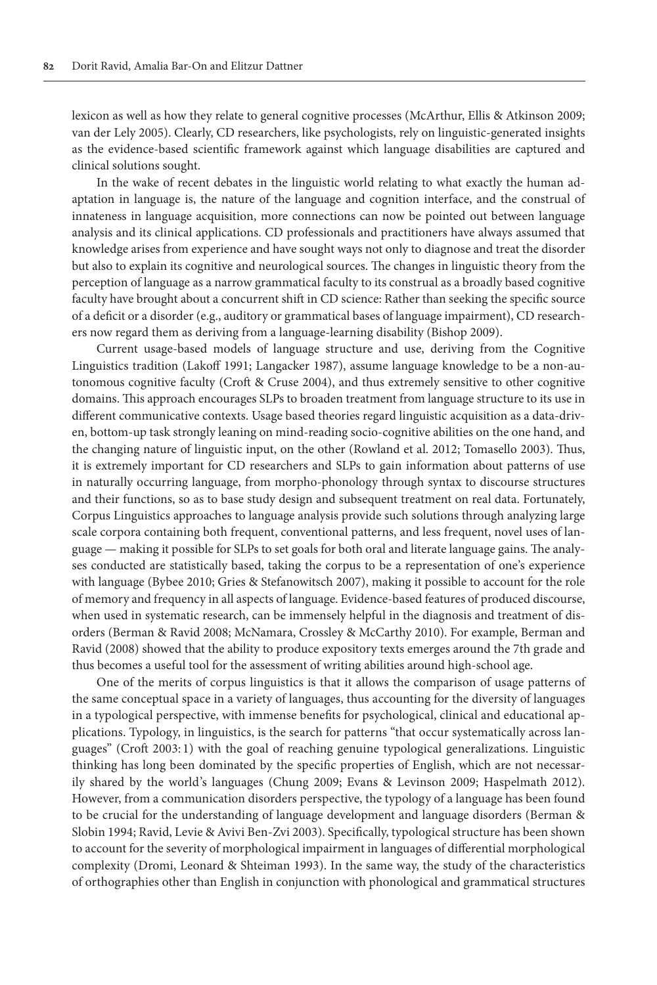lexicon as well as how they relate to general cognitive processes (McArthur, Ellis & Atkinson 2009; van der Lely 2005). Clearly, CD researchers, like psychologists, rely on linguistic-generated insights as the evidence-based scientific framework against which language disabilities are captured and clinical solutions sought.

In the wake of recent debates in the linguistic world relating to what exactly the human adaptation in language is, the nature of the language and cognition interface, and the construal of innateness in language acquisition, more connections can now be pointed out between language analysis and its clinical applications. CD professionals and practitioners have always assumed that knowledge arises from experience and have sought ways not only to diagnose and treat the disorder but also to explain its cognitive and neurological sources. The changes in linguistic theory from the perception of language as a narrow grammatical faculty to its construal as a broadly based cognitive faculty have brought about a concurrent shift in CD science: Rather than seeking the specific source of a deficit or a disorder (e.g., auditory or grammatical bases of language impairment), CD researchers now regard them as deriving from a language-learning disability (Bishop 2009).

Current usage-based models of language structure and use, deriving from the Cognitive Linguistics tradition (Lakoff 1991; Langacker 1987), assume language knowledge to be a non-autonomous cognitive faculty (Croft & Cruse 2004), and thus extremely sensitive to other cognitive domains. This approach encourages SLPs to broaden treatment from language structure to its use in different communicative contexts. Usage based theories regard linguistic acquisition as a data-driven, bottom-up task strongly leaning on mind-reading socio-cognitive abilities on the one hand, and the changing nature of linguistic input, on the other (Rowland et al. 2012; Tomasello 2003). Thus, it is extremely important for CD researchers and SLPs to gain information about patterns of use in naturally occurring language, from morpho-phonology through syntax to discourse structures and their functions, so as to base study design and subsequent treatment on real data. Fortunately, Corpus Linguistics approaches to language analysis provide such solutions through analyzing large scale corpora containing both frequent, conventional patterns, and less frequent, novel uses of language — making it possible for SLPs to set goals for both oral and literate language gains. The analyses conducted are statistically based, taking the corpus to be a representation of one's experience with language (Bybee 2010; Gries & Stefanowitsch 2007), making it possible to account for the role of memory and frequency in all aspects of language. Evidence-based features of produced discourse, when used in systematic research, can be immensely helpful in the diagnosis and treatment of disorders (Berman & Ravid 2008; McNamara, Crossley & McCarthy 2010). For example, Berman and Ravid (2008) showed that the ability to produce expository texts emerges around the 7th grade and thus becomes a useful tool for the assessment of writing abilities around high-school age.

One of the merits of corpus linguistics is that it allows the comparison of usage patterns of the same conceptual space in a variety of languages, thus accounting for the diversity of languages in a typological perspective, with immense benefits for psychological, clinical and educational applications. Typology, in linguistics, is the search for patterns "that occur systematically across languages" (Croft 2003: 1) with the goal of reaching genuine typological generalizations. Linguistic thinking has long been dominated by the specific properties of English, which are not necessarily shared by the world's languages (Chung 2009; Evans & Levinson 2009; Haspelmath 2012). However, from a communication disorders perspective, the typology of a language has been found to be crucial for the understanding of language development and language disorders (Berman & Slobin 1994; Ravid, Levie & Avivi Ben-Zvi 2003). Specifically, typological structure has been shown to account for the severity of morphological impairment in languages of differential morphological complexity (Dromi, Leonard & Shteiman 1993). In the same way, the study of the characteristics of orthographies other than English in conjunction with phonological and grammatical structures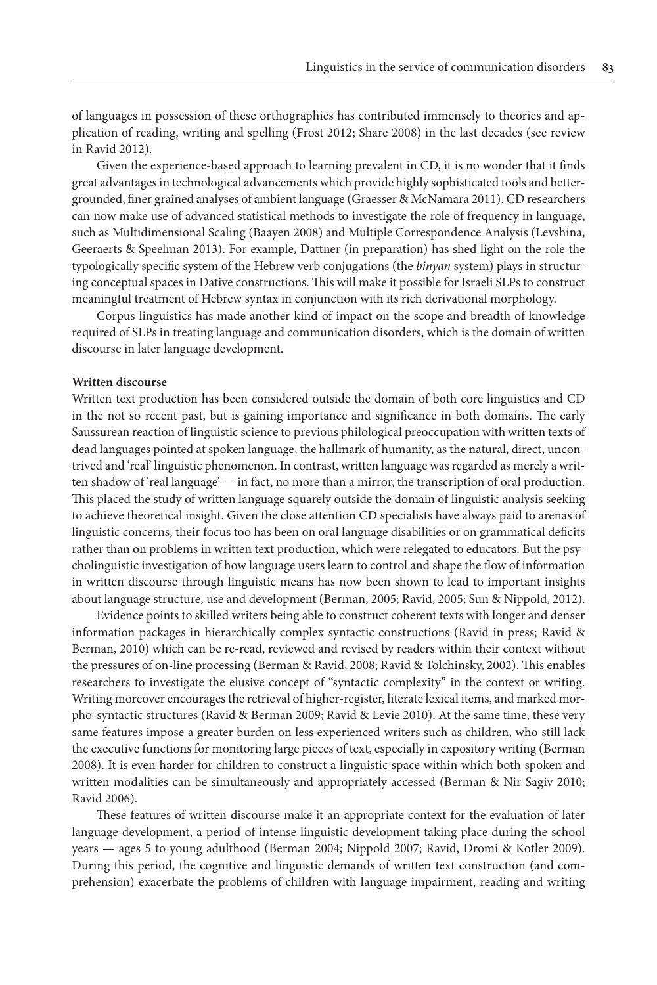of languages in possession of these orthographies has contributed immensely to theories and application of reading, writing and spelling (Frost 2012; Share 2008) in the last decades (see review in Ravid 2012).

Given the experience-based approach to learning prevalent in CD, it is no wonder that it finds great advantages in technological advancements which provide highly sophisticated tools and bettergrounded, finer grained analyses of ambient language (Graesser & McNamara 2011). CD researchers can now make use of advanced statistical methods to investigate the role of frequency in language, such as Multidimensional Scaling (Baayen 2008) and Multiple Correspondence Analysis (Levshina, Geeraerts & Speelman 2013). For example, Dattner (in preparation) has shed light on the role the typologically specific system of the Hebrew verb conjugations (the *binyan* system) plays in structuring conceptual spaces in Dative constructions. This will make it possible for Israeli SLPs to construct meaningful treatment of Hebrew syntax in conjunction with its rich derivational morphology.

Corpus linguistics has made another kind of impact on the scope and breadth of knowledge required of SLPs in treating language and communication disorders, which is the domain of written discourse in later language development.

#### **Written discourse**

Written text production has been considered outside the domain of both core linguistics and CD in the not so recent past, but is gaining importance and significance in both domains. The early Saussurean reaction of linguistic science to previous philological preoccupation with written texts of dead languages pointed at spoken language, the hallmark of humanity, as the natural, direct, uncontrived and 'real' linguistic phenomenon. In contrast, written language was regarded as merely a written shadow of 'real language' — in fact, no more than a mirror, the transcription of oral production. This placed the study of written language squarely outside the domain of linguistic analysis seeking to achieve theoretical insight. Given the close attention CD specialists have always paid to arenas of linguistic concerns, their focus too has been on oral language disabilities or on grammatical deficits rather than on problems in written text production, which were relegated to educators. But the psycholinguistic investigation of how language users learn to control and shape the flow of information in written discourse through linguistic means has now been shown to lead to important insights about language structure, use and development (Berman, 2005; Ravid, 2005; Sun & Nippold, 2012).

Evidence points to skilled writers being able to construct coherent texts with longer and denser information packages in hierarchically complex syntactic constructions (Ravid in press; Ravid & Berman, 2010) which can be re-read, reviewed and revised by readers within their context without the pressures of on-line processing (Berman & Ravid, 2008; Ravid & Tolchinsky, 2002). This enables researchers to investigate the elusive concept of "syntactic complexity" in the context or writing. Writing moreover encourages the retrieval of higher-register, literate lexical items, and marked morpho-syntactic structures (Ravid & Berman 2009; Ravid & Levie 2010). At the same time, these very same features impose a greater burden on less experienced writers such as children, who still lack the executive functions for monitoring large pieces of text, especially in expository writing (Berman 2008). It is even harder for children to construct a linguistic space within which both spoken and written modalities can be simultaneously and appropriately accessed (Berman & Nir-Sagiv 2010; Ravid 2006).

These features of written discourse make it an appropriate context for the evaluation of later language development, a period of intense linguistic development taking place during the school years — ages 5 to young adulthood (Berman 2004; Nippold 2007; Ravid, Dromi & Kotler 2009). During this period, the cognitive and linguistic demands of written text construction (and comprehension) exacerbate the problems of children with language impairment, reading and writing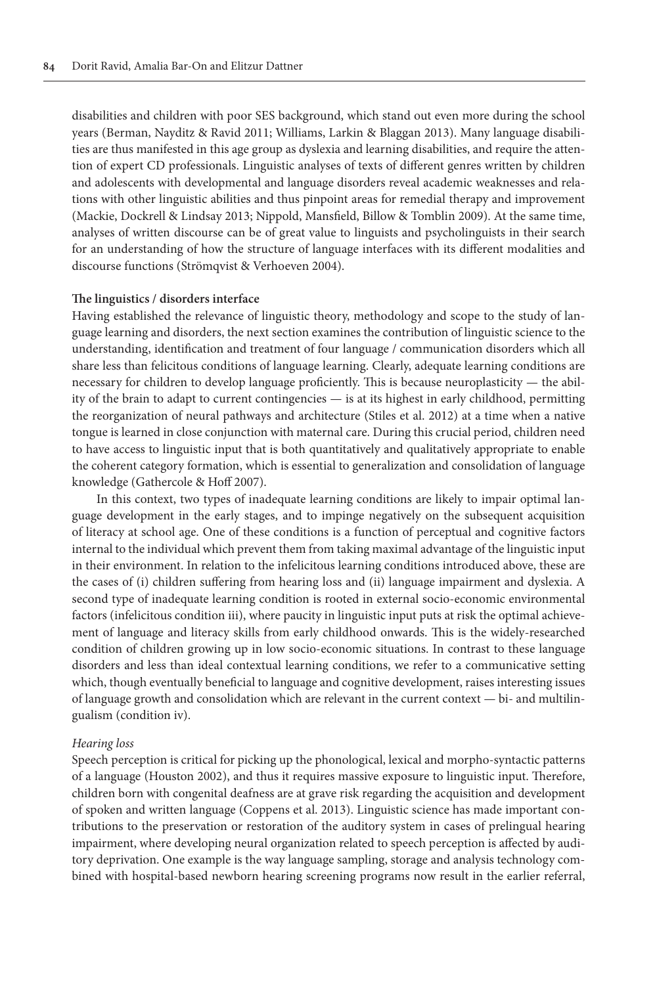disabilities and children with poor SES background, which stand out even more during the school years (Berman, Nayditz & Ravid 2011; Williams, Larkin & Blaggan 2013). Many language disabilities are thus manifested in this age group as dyslexia and learning disabilities, and require the attention of expert CD professionals. Linguistic analyses of texts of different genres written by children and adolescents with developmental and language disorders reveal academic weaknesses and relations with other linguistic abilities and thus pinpoint areas for remedial therapy and improvement (Mackie, Dockrell & Lindsay 2013; Nippold, Mansfield, Billow & Tomblin 2009). At the same time, analyses of written discourse can be of great value to linguists and psycholinguists in their search for an understanding of how the structure of language interfaces with its different modalities and discourse functions (Strömqvist & Verhoeven 2004).

#### **The linguistics / disorders interface**

Having established the relevance of linguistic theory, methodology and scope to the study of language learning and disorders, the next section examines the contribution of linguistic science to the understanding, identification and treatment of four language / communication disorders which all share less than felicitous conditions of language learning. Clearly, adequate learning conditions are necessary for children to develop language proficiently. This is because neuroplasticity — the ability of the brain to adapt to current contingencies — is at its highest in early childhood, permitting the reorganization of neural pathways and architecture (Stiles et al. 2012) at a time when a native tongue is learned in close conjunction with maternal care. During this crucial period, children need to have access to linguistic input that is both quantitatively and qualitatively appropriate to enable the coherent category formation, which is essential to generalization and consolidation of language knowledge (Gathercole & Hoff 2007).

In this context, two types of inadequate learning conditions are likely to impair optimal language development in the early stages, and to impinge negatively on the subsequent acquisition of literacy at school age. One of these conditions is a function of perceptual and cognitive factors internal to the individual which prevent them from taking maximal advantage of the linguistic input in their environment. In relation to the infelicitous learning conditions introduced above, these are the cases of (i) children suffering from hearing loss and (ii) language impairment and dyslexia. A second type of inadequate learning condition is rooted in external socio-economic environmental factors (infelicitous condition iii), where paucity in linguistic input puts at risk the optimal achievement of language and literacy skills from early childhood onwards. This is the widely-researched condition of children growing up in low socio-economic situations. In contrast to these language disorders and less than ideal contextual learning conditions, we refer to a communicative setting which, though eventually beneficial to language and cognitive development, raises interesting issues of language growth and consolidation which are relevant in the current context — bi- and multilingualism (condition iv).

#### *Hearing loss*

Speech perception is critical for picking up the phonological, lexical and morpho-syntactic patterns of a language (Houston 2002), and thus it requires massive exposure to linguistic input. Therefore, children born with congenital deafness are at grave risk regarding the acquisition and development of spoken and written language (Coppens et al. 2013). Linguistic science has made important contributions to the preservation or restoration of the auditory system in cases of prelingual hearing impairment, where developing neural organization related to speech perception is affected by auditory deprivation. One example is the way language sampling, storage and analysis technology combined with hospital-based newborn hearing screening programs now result in the earlier referral,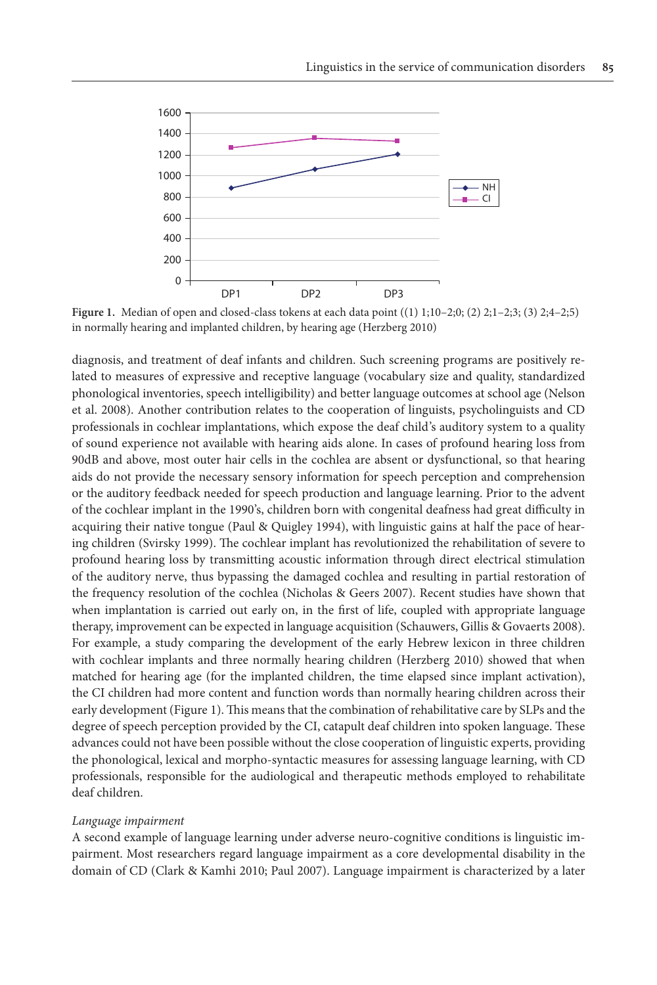

**Figure 1.** Median of open and closed-class tokens at each data point ((1) 1;10–2;0; (2) 2;1–2;3; (3) 2;4–2;5) in normally hearing and implanted children, by hearing age (Herzberg 2010)

diagnosis, and treatment of deaf infants and children. Such screening programs are positively related to measures of expressive and receptive language (vocabulary size and quality, standardized phonological inventories, speech intelligibility) and better language outcomes at school age (Nelson et al. 2008). Another contribution relates to the cooperation of linguists, psycholinguists and CD professionals in cochlear implantations, which expose the deaf child's auditory system to a quality of sound experience not available with hearing aids alone. In cases of profound hearing loss from 90dB and above, most outer hair cells in the cochlea are absent or dysfunctional, so that hearing aids do not provide the necessary sensory information for speech perception and comprehension or the auditory feedback needed for speech production and language learning. Prior to the advent of the cochlear implant in the 1990's, children born with congenital deafness had great difficulty in acquiring their native tongue (Paul & Quigley 1994), with linguistic gains at half the pace of hearing children (Svirsky 1999). The cochlear implant has revolutionized the rehabilitation of severe to profound hearing loss by transmitting acoustic information through direct electrical stimulation of the auditory nerve, thus bypassing the damaged cochlea and resulting in partial restoration of the frequency resolution of the cochlea (Nicholas & Geers 2007). Recent studies have shown that when implantation is carried out early on, in the first of life, coupled with appropriate language therapy, improvement can be expected in language acquisition (Schauwers, Gillis & Govaerts 2008). For example, a study comparing the development of the early Hebrew lexicon in three children with cochlear implants and three normally hearing children (Herzberg 2010) showed that when matched for hearing age (for the implanted children, the time elapsed since implant activation), the CI children had more content and function words than normally hearing children across their early development (Figure 1). This means that the combination of rehabilitative care by SLPs and the degree of speech perception provided by the CI, catapult deaf children into spoken language. These advances could not have been possible without the close cooperation of linguistic experts, providing the phonological, lexical and morpho-syntactic measures for assessing language learning, with CD professionals, responsible for the audiological and therapeutic methods employed to rehabilitate deaf children.

#### *Language impairment*

A second example of language learning under adverse neuro-cognitive conditions is linguistic impairment. Most researchers regard language impairment as a core developmental disability in the domain of CD (Clark & Kamhi 2010; Paul 2007). Language impairment is characterized by a later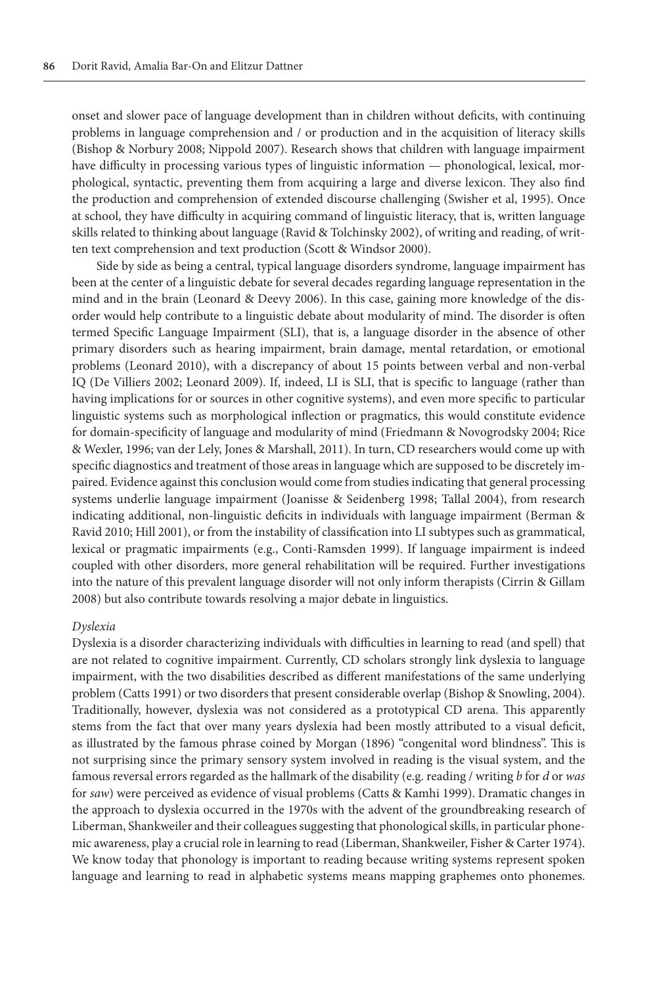onset and slower pace of language development than in children without deficits, with continuing problems in language comprehension and / or production and in the acquisition of literacy skills (Bishop & Norbury 2008; Nippold 2007). Research shows that children with language impairment have difficulty in processing various types of linguistic information — phonological, lexical, morphological, syntactic, preventing them from acquiring a large and diverse lexicon. They also find the production and comprehension of extended discourse challenging (Swisher et al, 1995). Once at school, they have difficulty in acquiring command of linguistic literacy, that is, written language skills related to thinking about language (Ravid & Tolchinsky 2002), of writing and reading, of written text comprehension and text production (Scott & Windsor 2000).

Side by side as being a central, typical language disorders syndrome, language impairment has been at the center of a linguistic debate for several decades regarding language representation in the mind and in the brain (Leonard & Deevy 2006). In this case, gaining more knowledge of the disorder would help contribute to a linguistic debate about modularity of mind. The disorder is often termed Specific Language Impairment (SLI), that is, a language disorder in the absence of other primary disorders such as hearing impairment, brain damage, mental retardation, or emotional problems (Leonard 2010), with a discrepancy of about 15 points between verbal and non-verbal IQ (De Villiers 2002; Leonard 2009). If, indeed, LI is SLI, that is specific to language (rather than having implications for or sources in other cognitive systems), and even more specific to particular linguistic systems such as morphological inflection or pragmatics, this would constitute evidence for domain-specificity of language and modularity of mind (Friedmann & Novogrodsky 2004; Rice & Wexler, 1996; van der Lely, Jones & Marshall, 2011). In turn, CD researchers would come up with specific diagnostics and treatment of those areas in language which are supposed to be discretely impaired. Evidence against this conclusion would come from studies indicating that general processing systems underlie language impairment (Joanisse & Seidenberg 1998; Tallal 2004), from research indicating additional, non-linguistic deficits in individuals with language impairment (Berman & Ravid 2010; Hill 2001), or from the instability of classification into LI subtypes such as grammatical, lexical or pragmatic impairments (e.g., Conti-Ramsden 1999). If language impairment is indeed coupled with other disorders, more general rehabilitation will be required. Further investigations into the nature of this prevalent language disorder will not only inform therapists (Cirrin & Gillam 2008) but also contribute towards resolving a major debate in linguistics.

#### *Dyslexia*

Dyslexia is a disorder characterizing individuals with difficulties in learning to read (and spell) that are not related to cognitive impairment. Currently, CD scholars strongly link dyslexia to language impairment, with the two disabilities described as different manifestations of the same underlying problem (Catts 1991) or two disorders that present considerable overlap (Bishop & Snowling, 2004). Traditionally, however, dyslexia was not considered as a prototypical CD arena. This apparently stems from the fact that over many years dyslexia had been mostly attributed to a visual deficit, as illustrated by the famous phrase coined by Morgan (1896) "congenital word blindness". This is not surprising since the primary sensory system involved in reading is the visual system, and the famous reversal errors regarded as the hallmark of the disability (e.g. reading / writing *b* for *d* or *was* for *saw*) were perceived as evidence of visual problems (Catts & Kamhi 1999). Dramatic changes in the approach to dyslexia occurred in the 1970s with the advent of the groundbreaking research of Liberman, Shankweiler and their colleagues suggesting that phonological skills, in particular phonemic awareness, play a crucial role in learning to read (Liberman, Shankweiler, Fisher & Carter 1974). We know today that phonology is important to reading because writing systems represent spoken language and learning to read in alphabetic systems means mapping graphemes onto phonemes.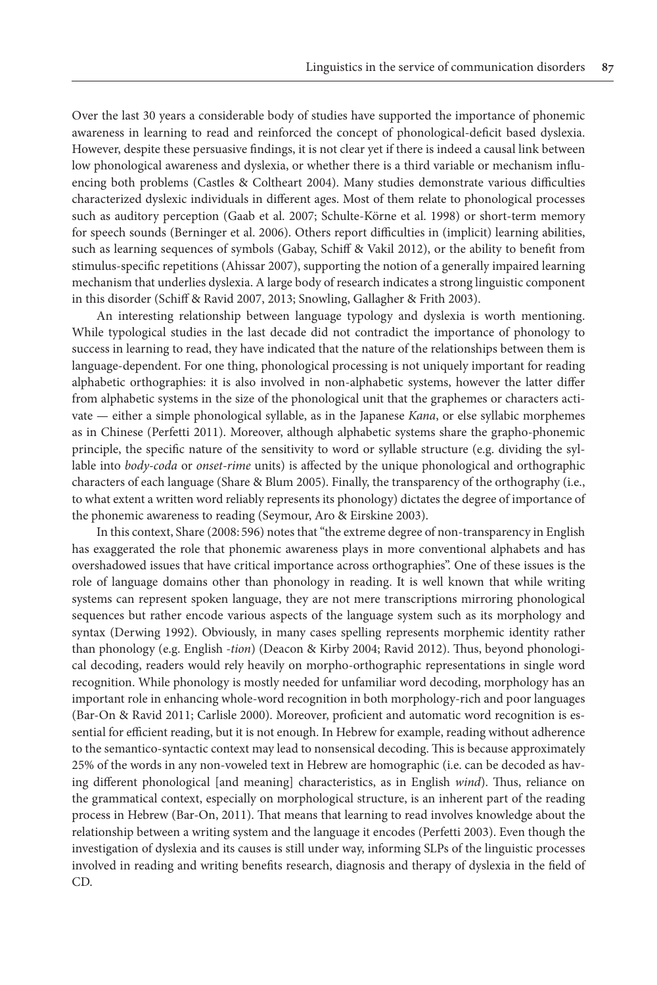Over the last 30 years a considerable body of studies have supported the importance of phonemic awareness in learning to read and reinforced the concept of phonological-deficit based dyslexia. However, despite these persuasive findings, it is not clear yet if there is indeed a causal link between low phonological awareness and dyslexia, or whether there is a third variable or mechanism influencing both problems (Castles & Coltheart 2004). Many studies demonstrate various difficulties characterized dyslexic individuals in different ages. Most of them relate to phonological processes such as auditory perception (Gaab et al. 2007; Schulte-Körne et al. 1998) or short-term memory for speech sounds (Berninger et al. 2006). Others report difficulties in (implicit) learning abilities, such as learning sequences of symbols (Gabay, Schiff & Vakil 2012), or the ability to benefit from stimulus-specific repetitions (Ahissar 2007), supporting the notion of a generally impaired learning mechanism that underlies dyslexia. A large body of research indicates a strong linguistic component in this disorder (Schiff & Ravid 2007, 2013; Snowling, Gallagher & Frith 2003).

An interesting relationship between language typology and dyslexia is worth mentioning. While typological studies in the last decade did not contradict the importance of phonology to success in learning to read, they have indicated that the nature of the relationships between them is language-dependent. For one thing, phonological processing is not uniquely important for reading alphabetic orthographies: it is also involved in non-alphabetic systems, however the latter differ from alphabetic systems in the size of the phonological unit that the graphemes or characters activate — either a simple phonological syllable, as in the Japanese *Kana*, or else syllabic morphemes as in Chinese (Perfetti 2011). Moreover, although alphabetic systems share the grapho-phonemic principle, the specific nature of the sensitivity to word or syllable structure (e.g. dividing the syllable into *body-coda* or *onset-rime* units) is affected by the unique phonological and orthographic characters of each language (Share & Blum 2005). Finally, the transparency of the orthography (i.e., to what extent a written word reliably represents its phonology) dictates the degree of importance of the phonemic awareness to reading (Seymour, Aro & Eirskine 2003).

In this context, Share (2008: 596) notes that "the extreme degree of non-transparency in English has exaggerated the role that phonemic awareness plays in more conventional alphabets and has overshadowed issues that have critical importance across orthographies". One of these issues is the role of language domains other than phonology in reading. It is well known that while writing systems can represent spoken language, they are not mere transcriptions mirroring phonological sequences but rather encode various aspects of the language system such as its morphology and syntax (Derwing 1992). Obviously, in many cases spelling represents morphemic identity rather than phonology (e.g. English *-tion*) (Deacon & Kirby 2004; Ravid 2012). Thus, beyond phonological decoding, readers would rely heavily on morpho-orthographic representations in single word recognition. While phonology is mostly needed for unfamiliar word decoding, morphology has an important role in enhancing whole-word recognition in both morphology-rich and poor languages (Bar-On & Ravid 2011; Carlisle 2000). Moreover, proficient and automatic word recognition is essential for efficient reading, but it is not enough. In Hebrew for example, reading without adherence to the semantico-syntactic context may lead to nonsensical decoding. This is because approximately 25% of the words in any non-voweled text in Hebrew are homographic (i.e. can be decoded as having different phonological [and meaning] characteristics, as in English *wind*). Thus, reliance on the grammatical context, especially on morphological structure, is an inherent part of the reading process in Hebrew (Bar-On, 2011). That means that learning to read involves knowledge about the relationship between a writing system and the language it encodes (Perfetti 2003). Even though the investigation of dyslexia and its causes is still under way, informing SLPs of the linguistic processes involved in reading and writing benefits research, diagnosis and therapy of dyslexia in the field of CD.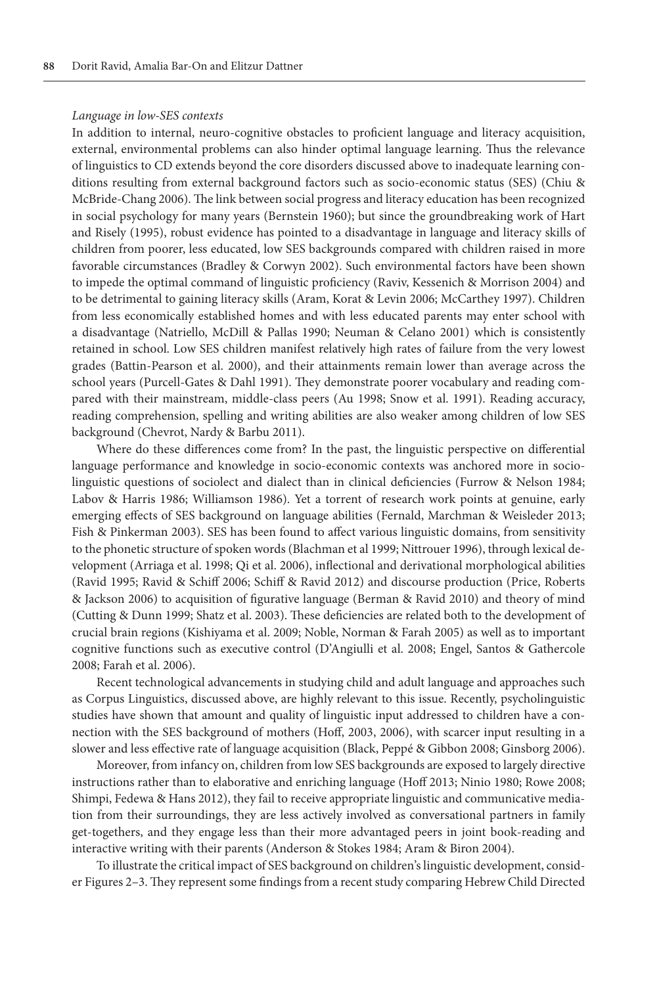#### *Language in low-SES contexts*

In addition to internal, neuro-cognitive obstacles to proficient language and literacy acquisition, external, environmental problems can also hinder optimal language learning. Thus the relevance of linguistics to CD extends beyond the core disorders discussed above to inadequate learning conditions resulting from external background factors such as socio-economic status (SES) (Chiu & McBride-Chang 2006). The link between social progress and literacy education has been recognized in social psychology for many years (Bernstein 1960); but since the groundbreaking work of Hart and Risely (1995), robust evidence has pointed to a disadvantage in language and literacy skills of children from poorer, less educated, low SES backgrounds compared with children raised in more favorable circumstances (Bradley & Corwyn 2002). Such environmental factors have been shown to impede the optimal command of linguistic proficiency (Raviv, Kessenich & Morrison 2004) and to be detrimental to gaining literacy skills (Aram, Korat & Levin 2006; McCarthey 1997). Children from less economically established homes and with less educated parents may enter school with a disadvantage (Natriello, McDill & Pallas 1990; Neuman & Celano 2001) which is consistently retained in school. Low SES children manifest relatively high rates of failure from the very lowest grades (Battin-Pearson et al. 2000), and their attainments remain lower than average across the school years (Purcell-Gates & Dahl 1991). They demonstrate poorer vocabulary and reading compared with their mainstream, middle-class peers (Au 1998; Snow et al. 1991). Reading accuracy, reading comprehension, spelling and writing abilities are also weaker among children of low SES background (Chevrot, Nardy & Barbu 2011).

Where do these differences come from? In the past, the linguistic perspective on differential language performance and knowledge in socio-economic contexts was anchored more in sociolinguistic questions of sociolect and dialect than in clinical deficiencies (Furrow & Nelson 1984; Labov & Harris 1986; Williamson 1986). Yet a torrent of research work points at genuine, early emerging effects of SES background on language abilities (Fernald, Marchman & Weisleder 2013; Fish & Pinkerman 2003). SES has been found to affect various linguistic domains, from sensitivity to the phonetic structure of spoken words (Blachman et al 1999; Nittrouer 1996), through lexical development (Arriaga et al. 1998; Qi et al. 2006), inflectional and derivational morphological abilities (Ravid 1995; Ravid & Schiff 2006; Schiff & Ravid 2012) and discourse production (Price, Roberts & Jackson 2006) to acquisition of figurative language (Berman & Ravid 2010) and theory of mind (Cutting & Dunn 1999; Shatz et al. 2003). These deficiencies are related both to the development of crucial brain regions (Kishiyama et al. 2009; Noble, Norman & Farah 2005) as well as to important cognitive functions such as executive control (D'Angiulli et al. 2008; Engel, Santos & Gathercole 2008; Farah et al. 2006).

Recent technological advancements in studying child and adult language and approaches such as Corpus Linguistics, discussed above, are highly relevant to this issue. Recently, psycholinguistic studies have shown that amount and quality of linguistic input addressed to children have a connection with the SES background of mothers (Hoff, 2003, 2006), with scarcer input resulting in a slower and less effective rate of language acquisition (Black, Peppé & Gibbon 2008; Ginsborg 2006).

Moreover, from infancy on, children from low SES backgrounds are exposed to largely directive instructions rather than to elaborative and enriching language (Hoff 2013; Ninio 1980; Rowe 2008; Shimpi, Fedewa & Hans 2012), they fail to receive appropriate linguistic and communicative mediation from their surroundings, they are less actively involved as conversational partners in family get-togethers, and they engage less than their more advantaged peers in joint book-reading and interactive writing with their parents (Anderson & Stokes 1984; Aram & Biron 2004).

To illustrate the critical impact of SES background on children's linguistic development, consider Figures 2–3. They represent some findings from a recent study comparing Hebrew Child Directed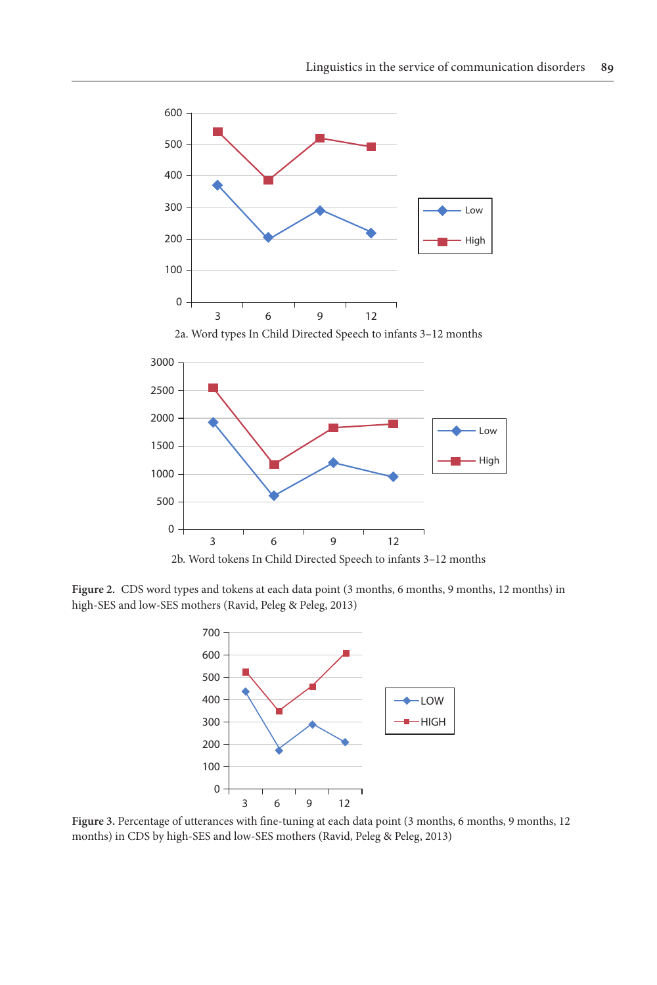

**Figure 2.** CDS word types and tokens at each data point (3 months, 6 months, 9 months, 12 months) in high-SES and low-SES mothers (Ravid, Peleg & Peleg, 2013)



**Figure 3.** Percentage of utterances with fine-tuning at each data point (3 months, 6 months, 9 months, 12 months) in CDS by high-SES and low-SES mothers (Ravid, Peleg & Peleg, 2013)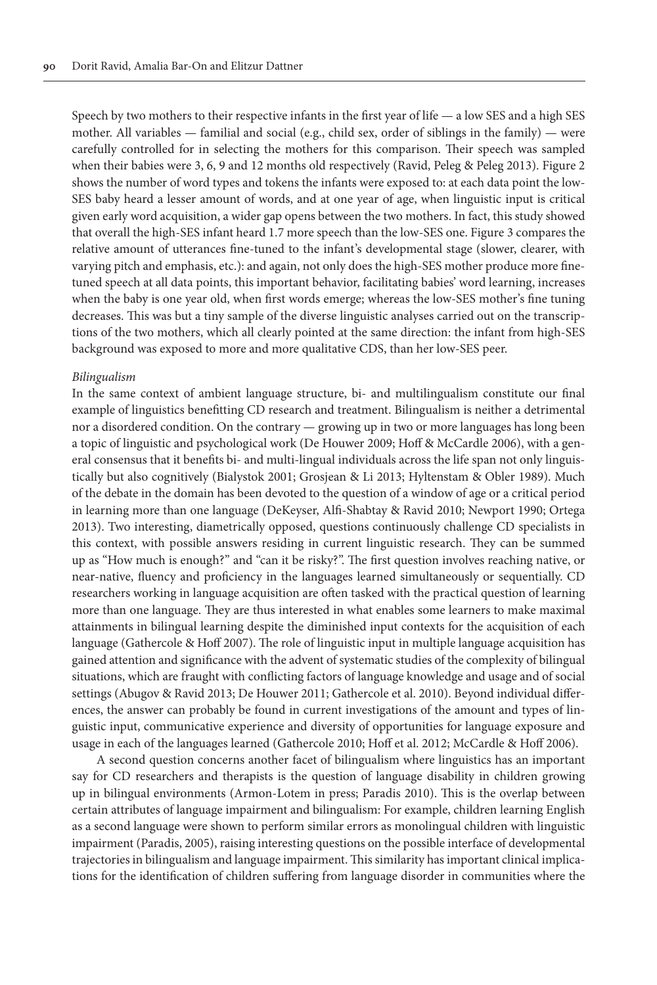Speech by two mothers to their respective infants in the first year of life — a low SES and a high SES mother. All variables — familial and social (e.g., child sex, order of siblings in the family) — were carefully controlled for in selecting the mothers for this comparison. Their speech was sampled when their babies were 3, 6, 9 and 12 months old respectively (Ravid, Peleg & Peleg 2013). Figure 2 shows the number of word types and tokens the infants were exposed to: at each data point the low-SES baby heard a lesser amount of words, and at one year of age, when linguistic input is critical given early word acquisition, a wider gap opens between the two mothers. In fact, this study showed that overall the high-SES infant heard 1.7 more speech than the low-SES one. Figure 3 compares the relative amount of utterances fine-tuned to the infant's developmental stage (slower, clearer, with varying pitch and emphasis, etc.): and again, not only does the high-SES mother produce more finetuned speech at all data points, this important behavior, facilitating babies' word learning, increases when the baby is one year old, when first words emerge; whereas the low-SES mother's fine tuning decreases. This was but a tiny sample of the diverse linguistic analyses carried out on the transcriptions of the two mothers, which all clearly pointed at the same direction: the infant from high-SES background was exposed to more and more qualitative CDS, than her low-SES peer.

#### *Bilingualism*

In the same context of ambient language structure, bi- and multilingualism constitute our final example of linguistics benefitting CD research and treatment. Bilingualism is neither a detrimental nor a disordered condition. On the contrary — growing up in two or more languages has long been a topic of linguistic and psychological work (De Houwer 2009; Hoff & McCardle 2006), with a general consensus that it benefits bi- and multi-lingual individuals across the life span not only linguistically but also cognitively (Bialystok 2001; Grosjean & Li 2013; Hyltenstam & Obler 1989). Much of the debate in the domain has been devoted to the question of a window of age or a critical period in learning more than one language (DeKeyser, Alfi-Shabtay & Ravid 2010; Newport 1990; Ortega 2013). Two interesting, diametrically opposed, questions continuously challenge CD specialists in this context, with possible answers residing in current linguistic research. They can be summed up as "How much is enough?" and "can it be risky?". The first question involves reaching native, or near-native, fluency and proficiency in the languages learned simultaneously or sequentially. CD researchers working in language acquisition are often tasked with the practical question of learning more than one language. They are thus interested in what enables some learners to make maximal attainments in bilingual learning despite the diminished input contexts for the acquisition of each language (Gathercole & Hoff 2007). The role of linguistic input in multiple language acquisition has gained attention and significance with the advent of systematic studies of the complexity of bilingual situations, which are fraught with conflicting factors of language knowledge and usage and of social settings (Abugov & Ravid 2013; De Houwer 2011; Gathercole et al. 2010). Beyond individual differences, the answer can probably be found in current investigations of the amount and types of linguistic input, communicative experience and diversity of opportunities for language exposure and usage in each of the languages learned (Gathercole 2010; Hoff et al. 2012; McCardle & Hoff 2006).

A second question concerns another facet of bilingualism where linguistics has an important say for CD researchers and therapists is the question of language disability in children growing up in bilingual environments (Armon-Lotem in press; Paradis 2010). This is the overlap between certain attributes of language impairment and bilingualism: For example, children learning English as a second language were shown to perform similar errors as monolingual children with linguistic impairment (Paradis, 2005), raising interesting questions on the possible interface of developmental trajectories in bilingualism and language impairment. This similarity has important clinical implications for the identification of children suffering from language disorder in communities where the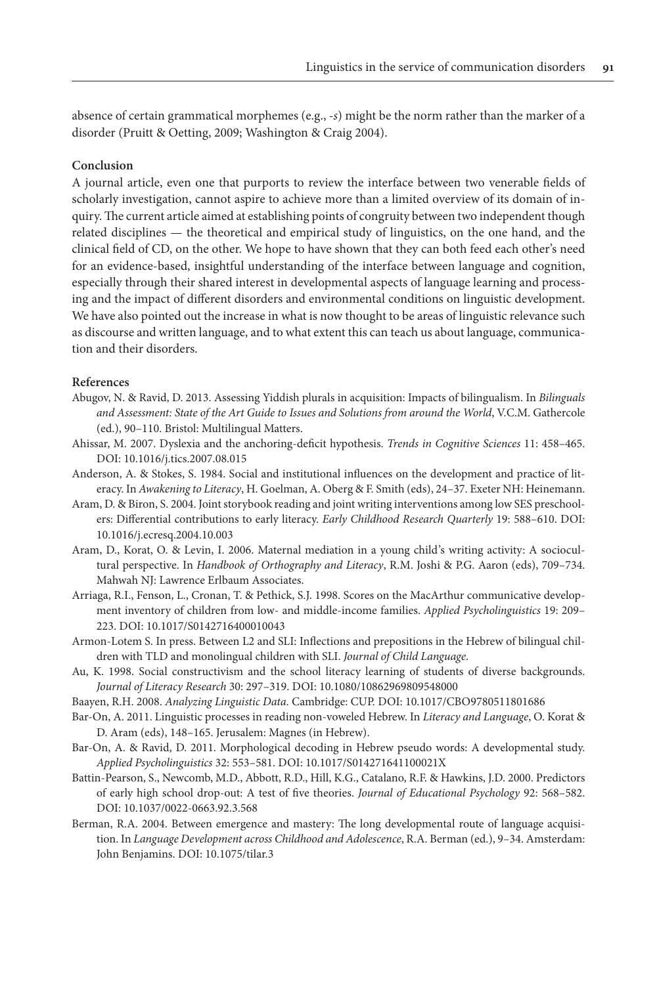absence of certain grammatical morphemes (e.g., *-s*) might be the norm rather than the marker of a disorder (Pruitt & Oetting, 2009; Washington & Craig 2004).

### **Conclusion**

A journal article, even one that purports to review the interface between two venerable fields of scholarly investigation, cannot aspire to achieve more than a limited overview of its domain of inquiry. The current article aimed at establishing points of congruity between two independent though related disciplines — the theoretical and empirical study of linguistics, on the one hand, and the clinical field of CD, on the other. We hope to have shown that they can both feed each other's need for an evidence-based, insightful understanding of the interface between language and cognition, especially through their shared interest in developmental aspects of language learning and processing and the impact of different disorders and environmental conditions on linguistic development. We have also pointed out the increase in what is now thought to be areas of linguistic relevance such as discourse and written language, and to what extent this can teach us about language, communication and their disorders.

#### **References**

- Abugov, N. & Ravid, D. 2013. Assessing Yiddish plurals in acquisition: Impacts of bilingualism. In *Bilinguals and Assessment: State of the Art Guide to Issues and Solutions from around the World*, V.C.M. Gathercole (ed.), 90–110. Bristol: Multilingual Matters.
- Ahissar, M. 2007. Dyslexia and the anchoring-deficit hypothesis. *Trends in Cognitive Sciences* 11: 458–465. DOI: [10.1016/j.tics.2007.08.015](http://dx.doi.org/10.1016/j.tics.2007.08.015)
- Anderson, A. & Stokes, S. 1984. Social and institutional influences on the development and practice of literacy. In *Awakening to Literacy*, H. Goelman, A. Oberg & F. Smith (eds), 24–37. Exeter NH: Heinemann.
- Aram, D. & Biron, S. 2004. Joint storybook reading and joint writing interventions among low SES preschoolers: Differential contributions to early literacy. *Early Childhood Research Quarterly* 19: 588–610. DOI: [10.1016/j.ecresq.2004.10.003](http://dx.doi.org/10.1016/j.ecresq.2004.10.003)
- Aram, D., Korat, O. & Levin, I. 2006. Maternal mediation in a young child's writing activity: A sociocultural perspective. In *Handbook of Orthography and Literacy*, R.M. Joshi & P.G. Aaron (eds), 709–734. Mahwah NJ: Lawrence Erlbaum Associates.
- Arriaga, R.I., Fenson, L., Cronan, T. & Pethick, S.J. 1998. Scores on the MacArthur communicative development inventory of children from low- and middle-income families. *Applied Psycholinguistics* 19: 209– 223. DOI: [10.1017/S0142716400010043](http://dx.doi.org/10.1017/S0142716400010043)
- Armon-Lotem S. In press. Between L2 and SLI: Inflections and prepositions in the Hebrew of bilingual children with TLD and monolingual children with SLI. *Journal of Child Language*.
- Au, K. 1998. Social constructivism and the school literacy learning of students of diverse backgrounds. *Journal of Literacy Research* 30: 297–319. DOI: [10.1080/10862969809548000](http://dx.doi.org/10.1080/10862969809548000)
- Baayen, R.H. 2008. *Analyzing Linguistic Data*. Cambridge: CUP. DOI: [10.1017/CBO9780511801686](http://dx.doi.org/10.1017/CBO9780511801686)
- Bar-On, A. 2011. Linguistic processes in reading non-voweled Hebrew. In *Literacy and Language*, O. Korat & D. Aram (eds), 148–165. Jerusalem: Magnes (in Hebrew).
- Bar-On, A. & Ravid, D. 2011. Morphological decoding in Hebrew pseudo words: A developmental study. *Applied Psycholinguistics* 32: 553–581. DOI: [10.1017/S014271641100021X](http://dx.doi.org/10.1017/S014271641100021X)
- Battin-Pearson, S., Newcomb, M.D., Abbott, R.D., Hill, K.G., Catalano, R.F. & Hawkins, J.D. 2000. Predictors of early high school drop-out: A test of five theories. *Journal of Educational Psychology* 92: 568–582. DOI: [10.1037/0022-0663.92.3.568](http://dx.doi.org/10.1037/0022-0663.92.3.568)
- Berman, R.A. 2004. Between emergence and mastery: The long developmental route of language acquisition. In *Language Development across Childhood and Adolescence*, R.A. Berman (ed.), 9–34. Amsterdam: John Benjamins. DOI: [10.1075/tilar.3](http://dx.doi.org/10.1075/tilar.3)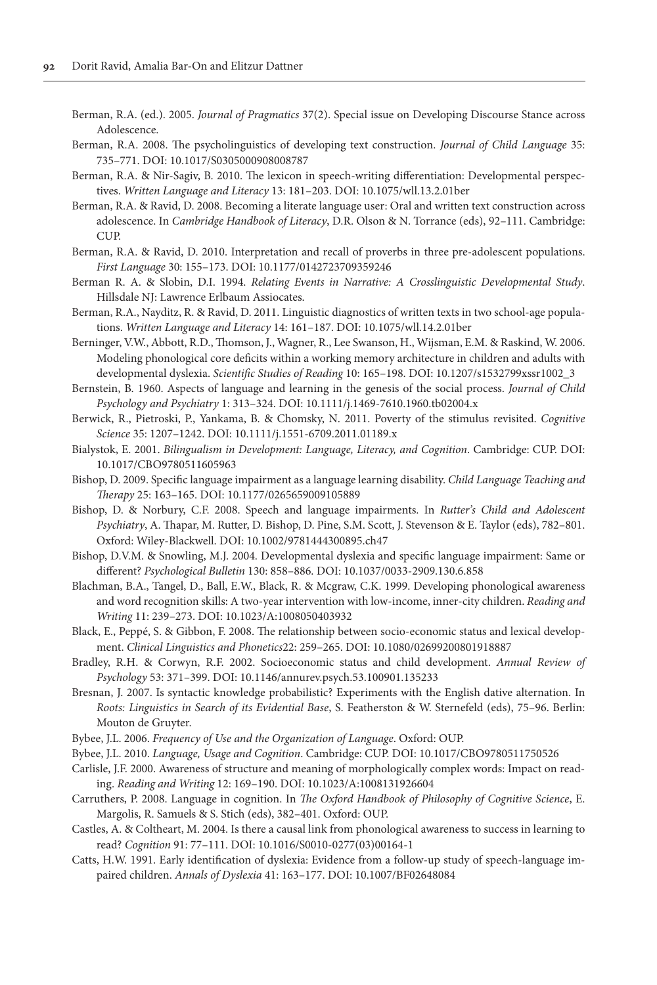Berman, R.A. (ed.). 2005. *Journal of Pragmatics* 37(2). Special issue on Developing Discourse Stance across Adolescence.

- Berman, R.A. 2008. The psycholinguistics of developing text construction. *Journal of Child Language* 35: 735–771. DOI: [10.1017/S0305000908008787](http://dx.doi.org/10.1017/S0305000908008787)
- Berman, R.A. & Nir-Sagiv, B. 2010. The lexicon in speech-writing differentiation: Developmental perspectives. *Written Language and Literacy* 13: 181–203. DOI: [10.1075/wll.13.2.01ber](http://dx.doi.org/10.1075/wll.13.2.01ber)
- Berman, R.A. & Ravid, D. 2008. Becoming a literate language user: Oral and written text construction across adolescence. In *Cambridge Handbook of Literacy*, D.R. Olson & N. Torrance (eds), 92–111. Cambridge: CUP.
- Berman, R.A. & Ravid, D. 2010. Interpretation and recall of proverbs in three pre-adolescent populations. *First Language* 30: 155–173. DOI: [10.1177/0142723709359246](http://dx.doi.org/10.1177/0142723709359246)
- Berman R. A. & Slobin, D.I. 1994. *Relating Events in Narrative: A Crosslinguistic Developmental Study*. Hillsdale NJ: Lawrence Erlbaum Assiocates.
- Berman, R.A., Nayditz, R. & Ravid, D. 2011. Linguistic diagnostics of written texts in two school-age populations. *Written Language and Literacy* 14: 161–187. DOI: [10.1075/wll.14.2.01ber](http://dx.doi.org/10.1075/wll.14.2.01ber)
- Berninger, V.W., Abbott, R.D., Thomson, J., Wagner, R., Lee Swanson, H., Wijsman, E.M. & Raskind, W. 2006. Modeling phonological core deficits within a working memory architecture in children and adults with developmental dyslexia. *Scientific Studies of Reading* 10: 165–198. DOI: [10.1207/s1532799xssr1002\\_3](http://dx.doi.org/10.1207/s1532799xssr1002_3)
- Bernstein, B. 1960. Aspects of language and learning in the genesis of the social process. *Journal of Child Psychology and Psychiatry* 1: 313–324. DOI: [10.1111/j.1469-7610.1960.tb02004.x](http://dx.doi.org/10.1111/j.1469-7610.1960.tb02004.x)
- Berwick, R., Pietroski, P., Yankama, B. & Chomsky, N. 2011. Poverty of the stimulus revisited. *Cognitive Science* 35: 1207–1242. DOI: [10.1111/j.1551-6709.2011.01189.x](http://dx.doi.org/10.1111/j.1551-6709.2011.01189.x)
- Bialystok, E. 2001. *Bilingualism in Development: Language, Literacy, and Cognition*. Cambridge: CUP. DOI: [10.1017/CBO9780511605963](http://dx.doi.org/10.1017/CBO9780511605963)
- Bishop, D. 2009. Specific language impairment as a language learning disability. *Child Language Teaching and Therapy* 25: 163–165. DOI: [10.1177/0265659009105889](http://dx.doi.org/10.1177/0265659009105889)
- Bishop, D. & Norbury, C.F. 2008. Speech and language impairments. In *Rutter's Child and Adolescent Psychiatry*, A. Thapar, M. Rutter, D. Bishop, D. Pine, S.M. Scott, J. Stevenson & E. Taylor (eds), 782–801. Oxford: Wiley-Blackwell. DOI: [10.1002/9781444300895.ch47](http://dx.doi.org/10.1002/9781444300895.ch47)
- Bishop, D.V.M. & Snowling, M.J. 2004. Developmental dyslexia and specific language impairment: Same or different? *Psychological Bulletin* 130: 858–886. DOI: [10.1037/0033-2909.130.6.858](http://dx.doi.org/10.1037/0033-2909.130.6.858)
- Blachman, B.A., Tangel, D., Ball, E.W., Black, R. & Mcgraw, C.K. 1999. Developing phonological awareness and word recognition skills: A two-year intervention with low-income, inner-city children. *Reading and Writing* 11: 239–273. DOI: [10.1023/A:1008050403932](http://dx.doi.org/10.1023/A:1008050403932)
- Black, E., Peppé, S. & Gibbon, F. 2008. The relationship between socio-economic status and lexical development. *Clinical Linguistics and Phonetics*22: 259–265. DOI: [10.1080/02699200801918887](http://dx.doi.org/10.1080/02699200801918887)
- Bradley, R.H. & Corwyn, R.F. 2002. Socioeconomic status and child development. *Annual Review of Psychology* 53: 371–399. DOI: [10.1146/annurev.psych.53.100901.135233](http://dx.doi.org/10.1146/annurev.psych.53.100901.135233)
- Bresnan, J. 2007. Is syntactic knowledge probabilistic? Experiments with the English dative alternation. In *Roots: Linguistics in Search of its Evidential Base*, S. Featherston & W. Sternefeld (eds), 75–96. Berlin: Mouton de Gruyter.
- Bybee, J.L. 2006. *Frequency of Use and the Organization of Language*. Oxford: OUP.
- Bybee, J.L. 2010. *Language, Usage and Cognition*. Cambridge: CUP. DOI: [10.1017/CBO9780511750526](http://dx.doi.org/10.1017/CBO9780511750526)
- Carlisle, J.F. 2000. Awareness of structure and meaning of morphologically complex words: Impact on reading. *Reading and Writing* 12: 169–190. DOI: [10.1023/A:1008131926604](http://dx.doi.org/10.1023/A:1008131926604)
- Carruthers, P. 2008. Language in cognition. In *The Oxford Handbook of Philosophy of Cognitive Science*, E. Margolis, R. Samuels & S. Stich (eds), 382–401. Oxford: OUP.
- Castles, A. & Coltheart, M. 2004. Is there a causal link from phonological awareness to success in learning to read? *Cognition* 91: 77–111. DOI: [10.1016/S0010-0277\(03\)00164-1](http://dx.doi.org/10.1016/S0010-0277(03)00164-1)
- Catts, H.W. 1991. Early identification of dyslexia: Evidence from a follow-up study of speech-language impaired children. *Annals of Dyslexia* 41: 163–177. DOI: [10.1007/BF02648084](http://dx.doi.org/10.1007/BF02648084)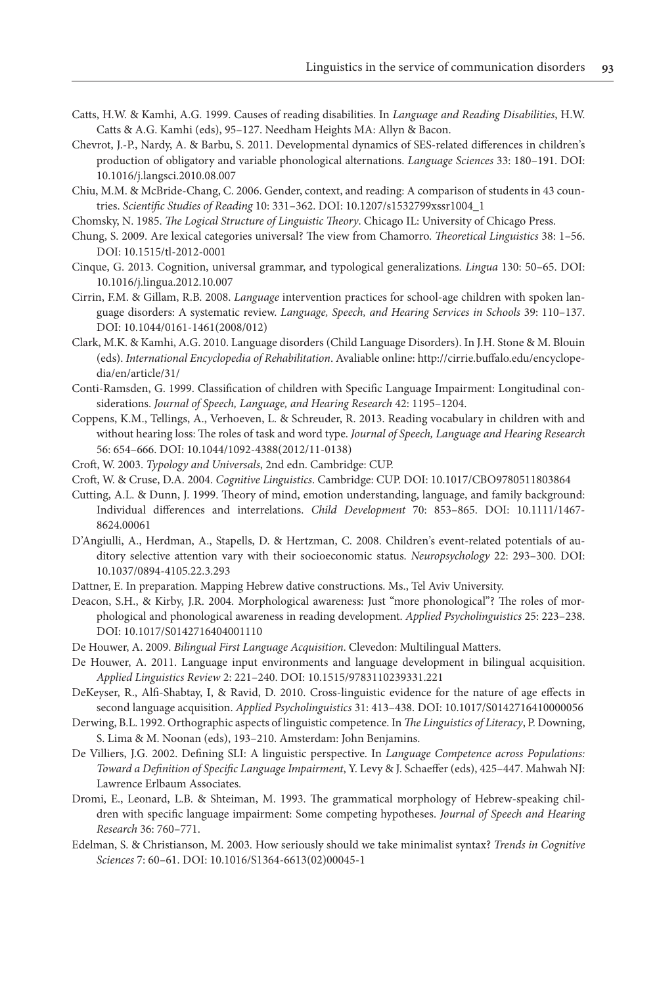- Catts, H.W. & Kamhi, A.G. 1999. Causes of reading disabilities. In *Language and Reading Disabilities*, H.W. Catts & A.G. Kamhi (eds), 95–127. Needham Heights MA: Allyn & Bacon.
- Chevrot, J.-P., Nardy, A. & Barbu, S. 2011. Developmental dynamics of SES-related differences in children's production of obligatory and variable phonological alternations. *Language Sciences* 33: 180–191. DOI: [10.1016/j.langsci.2010.08.007](http://dx.doi.org/10.1016/j.langsci.2010.08.007)
- Chiu, M.M. & McBride-Chang, C. 2006. Gender, context, and reading: A comparison of students in 43 countries. *Scientific Studies of Reading* 10: 331–362. DOI: [10.1207/s1532799xssr1004\\_1](http://dx.doi.org/10.1207/s1532799xssr1004_1)
- Chomsky, N. 1985. *The Logical Structure of Linguistic Theory*. Chicago IL: University of Chicago Press.
- Chung, S. 2009. Are lexical categories universal? The view from Chamorro. *Theoretical Linguistics* 38: 1–56. DOI: [10.1515/tl-2012-0001](http://dx.doi.org/10.1515/tl-2012-0001)
- Cinque, G. 2013. Cognition, universal grammar, and typological generalizations. *Lingua* 130: 50–65. DOI: [10.1016/j.lingua.2012.10.007](http://dx.doi.org/10.1016/j.lingua.2012.10.007)
- Cirrin, F.M. & Gillam, R.B. 2008. *Language* intervention practices for school-age children with spoken language disorders: A systematic review. *Language, Speech, and Hearing Services in Schools* 39: 110–137. DOI: [10.1044/0161-1461\(2008/012\)](http://dx.doi.org/10.1044/0161-1461(2008/012))
- Clark, M.K. & Kamhi, A.G. 2010. Language disorders (Child Language Disorders). In J.H. Stone & M. Blouin (eds). *International Encyclopedia of Rehabilitation*. Avaliable online: http://cirrie.buffalo.edu/encyclopedia/en/article/31/
- Conti-Ramsden, G. 1999. Classification of children with Specific Language Impairment: Longitudinal considerations. *Journal of Speech, Language, and Hearing Research* 42: 1195–1204.
- Coppens, K.M., Tellings, A., Verhoeven, L. & Schreuder, R. 2013. Reading vocabulary in children with and without hearing loss: The roles of task and word type. *Journal of Speech, Language and Hearing Research* 56: 654–666. DOI: [10.1044/1092-4388\(2012/11-0138\)](http://dx.doi.org/10.1044/1092-4388(2012/11-0138))
- Croft, W. 2003. *Typology and Universals*, 2nd edn. Cambridge: CUP.
- Croft, W. & Cruse, D.A. 2004. *Cognitive Linguistics*. Cambridge: CUP. DOI: [10.1017/CBO9780511803864](http://dx.doi.org/10.1017/CBO9780511803864)
- Cutting, A.L. & Dunn, J. 1999. Theory of mind, emotion understanding, language, and family background: Individual differences and interrelations. *Child Development* 70: 853–865. DOI: [10.1111/1467-](http://dx.doi.org/10.1111/1467-8624.00061) [8624.00061](http://dx.doi.org/10.1111/1467-8624.00061)
- D'Angiulli, A., Herdman, A., Stapells, D. & Hertzman, C. 2008. Children's event-related potentials of auditory selective attention vary with their socioeconomic status. *Neuropsychology* 22: 293–300. DOI: [10.1037/0894-4105.22.3.293](http://dx.doi.org/10.1037/0894-4105.22.3.293)
- Dattner, E. In preparation. Mapping Hebrew dative constructions. Ms., Tel Aviv University.
- Deacon, S.H., & Kirby, J.R. 2004. Morphological awareness: Just "more phonological"? The roles of morphological and phonological awareness in reading development. *Applied Psycholinguistics* 25: 223–238. DOI: [10.1017/S0142716404001110](http://dx.doi.org/10.1017/S0142716404001110)
- De Houwer, A. 2009. *Bilingual First Language Acquisition*. Clevedon: Multilingual Matters.
- De Houwer, A. 2011. Language input environments and language development in bilingual acquisition. *Applied Linguistics Review* 2: 221–240. DOI: [10.1515/9783110239331.221](http://dx.doi.org/10.1515/9783110239331.221)
- DeKeyser, R., Alfi-Shabtay, I, & Ravid, D. 2010. Cross-linguistic evidence for the nature of age effects in second language acquisition. *Applied Psycholinguistics* 31: 413–438. DOI: [10.1017/S0142716410000056](http://dx.doi.org/10.1017/S0142716410000056)
- Derwing, B.L. 1992. Orthographic aspects of linguistic competence. In *The Linguistics of Literacy*, P. Downing, S. Lima & M. Noonan (eds), 193–210. Amsterdam: John Benjamins.
- De Villiers, J.G. 2002. Defining SLI: A linguistic perspective. In *Language Competence across Populations: Toward a Definition of Specific Language Impairment*, Y. Levy & J. Schaeffer (eds), 425–447. Mahwah NJ: Lawrence Erlbaum Associates.
- Dromi, E., Leonard, L.B. & Shteiman, M. 1993. The grammatical morphology of Hebrew-speaking children with specific language impairment: Some competing hypotheses. *Journal of Speech and Hearing Research* 36: 760–771.
- Edelman, S. & Christianson, M. 2003. How seriously should we take minimalist syntax? *Trends in Cognitive Sciences* 7: 60–61. DOI: [10.1016/S1364-6613\(02\)00045-1](http://dx.doi.org/10.1016/S1364-6613(02)00045-1)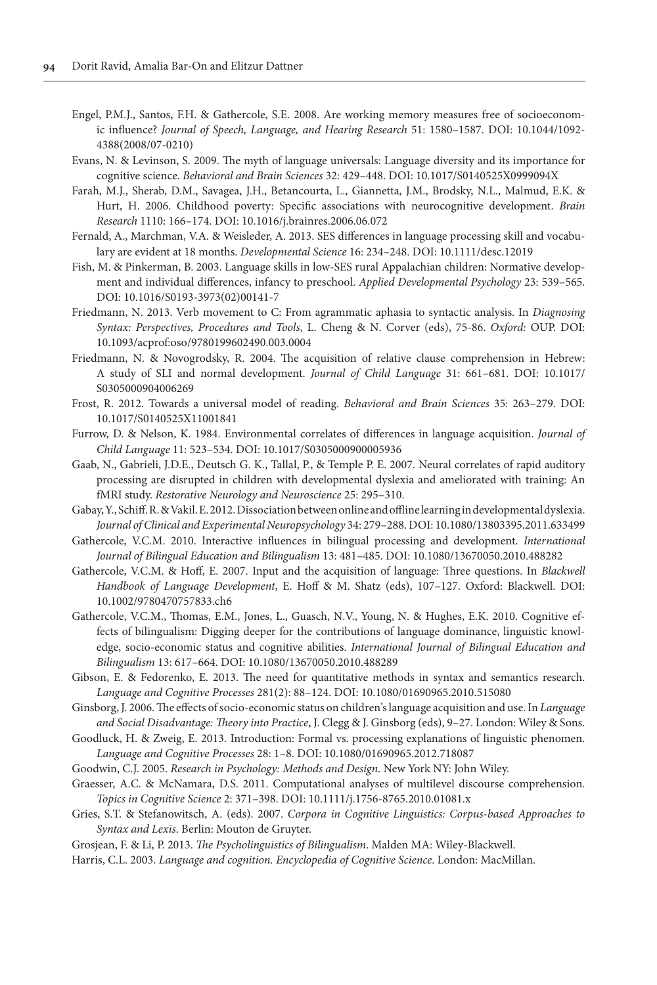- Engel, P.M.J., Santos, F.H. & Gathercole, S.E. 2008. Are working memory measures free of socioeconomic influence? *Journal of Speech, Language, and Hearing Research* 51: 1580–1587. DOI: [10.1044/1092-](http://dx.doi.org/10.1044/1092-4388(2008/07-0210)) [4388\(2008/07-0210\)](http://dx.doi.org/10.1044/1092-4388(2008/07-0210))
- Evans, N. & Levinson, S. 2009. The myth of language universals: Language diversity and its importance for cognitive science. *Behavioral and Brain Sciences* 32: 429–448. DOI: [10.1017/S0140525X0999094X](http://dx.doi.org/10.1017/S0140525X0999094X)
- Farah, M.J., Sherab, D.M., Savagea, J.H., Betancourta, L., Giannetta, J.M., Brodsky, N.L., Malmud, E.K. & Hurt, H. 2006. Childhood poverty: Specific associations with neurocognitive development. *Brain Research* 1110: 166–174. DOI: [10.1016/j.brainres.2006.06.072](http://dx.doi.org/10.1016/j.brainres.2006.06.072)
- Fernald, A., Marchman, V.A. & Weisleder, A. 2013. SES differences in language processing skill and vocabulary are evident at 18 months. *Developmental Science* 16: 234–248. DOI: [10.1111/desc.12019](http://dx.doi.org/10.1111/desc.12019)
- Fish, M. & Pinkerman, B. 2003. Language skills in low-SES rural Appalachian children: Normative development and individual differences, infancy to preschool. *Applied Developmental Psychology* 23: 539–565. DOI: [10.1016/S0193-3973\(02\)00141-7](http://dx.doi.org/10.1016/S0193-3973(02)00141-7)
- Friedmann, N. 2013. Verb movement to C: From agrammatic aphasia to syntactic analysis. In *Diagnosing Syntax: Perspectives, Procedures and Tools*, L. Cheng & N. Corver (eds), 75-86. *Oxford:* OUP. DOI: [10.1093/acprof:oso/9780199602490.003.0004](http://dx.doi.org/10.1093/acprof:oso/9780199602490.003.0004)
- Friedmann, N. & Novogrodsky, R. 2004. The acquisition of relative clause comprehension in Hebrew: A study of SLI and normal development. *Journal of Child Language* 31: 661–681. DOI: [10.1017/](http://dx.doi.org/10.1017/S0305000904006269) [S0305000904006269](http://dx.doi.org/10.1017/S0305000904006269)
- Frost, R. 2012. Towards a universal model of reading. *Behavioral and Brain Sciences* 35: 263–279. DOI: [10.1017/S0140525X11001841](http://dx.doi.org/10.1017/S0140525X11001841)
- Furrow, D. & Nelson, K. 1984. Environmental correlates of differences in language acquisition. *Journal of Child Language* 11: 523–534. DOI: [10.1017/S0305000900005936](http://dx.doi.org/10.1017/S0305000900005936)
- Gaab, N., Gabrieli, J.D.E., Deutsch G. K., Tallal, P., & Temple P. E. 2007. Neural correlates of rapid auditory processing are disrupted in children with developmental dyslexia and ameliorated with training: An fMRI study. *Restorative Neurology and Neuroscience* 25: 295–310.
- Gabay, Y., Schiff. R. & Vakil. E. 2012. Dissociation between online and offline learning in developmental dyslexia. *Journal of Clinical and Experimental Neuropsychology* 34: 279–288. DOI: [10.1080/13803395.2011.633499](http://dx.doi.org/10.1080/13803395.2011.633499)
- Gathercole, V.C.M. 2010. Interactive influences in bilingual processing and development. *International Journal of Bilingual Education and Bilingualism* 13: 481–485. DOI: [10.1080/13670050.2010.488282](http://dx.doi.org/10.1080/13670050.2010.488282)
- Gathercole, V.C.M. & Hoff, E. 2007. Input and the acquisition of language: Three questions. In *Blackwell Handbook of Language Development*, E. Hoff & M. Shatz (eds), 107–127. Oxford: Blackwell. DOI: [10.1002/9780470757833.ch6](http://dx.doi.org/10.1002/9780470757833.ch6)
- Gathercole, V.C.M., Thomas, E.M., Jones, L., Guasch, N.V., Young, N. & Hughes, E.K. 2010. Cognitive effects of bilingualism: Digging deeper for the contributions of language dominance, linguistic knowledge, socio-economic status and cognitive abilities. *International Journal of Bilingual Education and Bilingualism* 13: 617–664. DOI: [10.1080/13670050.2010.488289](http://dx.doi.org/10.1080/13670050.2010.488289)
- Gibson, E. & Fedorenko, E. 2013. The need for quantitative methods in syntax and semantics research. *Language and Cognitive Processes* 281(2): 88–124. DOI: [10.1080/01690965.2010.515080](http://dx.doi.org/10.1080/01690965.2010.515080)
- Ginsborg, J. 2006. The effects of socio-economic status on children's language acquisition and use. In *Language and Social Disadvantage: Theory into Practice*, J. Clegg & J. Ginsborg (eds), 9–27. London: Wiley & Sons.
- Goodluck, H. & Zweig, E. 2013. Introduction: Formal vs. processing explanations of linguistic phenomen. *Language and Cognitive Processes* 28: 1–8. DOI: [10.1080/01690965.2012.718087](http://dx.doi.org/10.1080/01690965.2012.718087)
- Goodwin, C.J. 2005. *Research in Psychology: Methods and Design*. New York NY: John Wiley.
- Graesser, A.C. & McNamara, D.S. 2011. Computational analyses of multilevel discourse comprehension. *Topics in Cognitive Science* 2: 371–398. DOI: [10.1111/j.1756-8765.2010.01081.x](http://dx.doi.org/10.1111/j.1756-8765.2010.01081.x)
- Gries, S.T. & Stefanowitsch, A. (eds). 2007. *Corpora in Cognitive Linguistics: Corpus-based Approaches to Syntax and Lexis*. Berlin: Mouton de Gruyter.
- Grosjean, F. & Li, P. 2013. *The Psycholinguistics of Bilingualism*. Malden MA: Wiley-Blackwell.
- Harris, C.L. 2003. *Language and cognition. Encyclopedia of Cognitive Science*. London: MacMillan.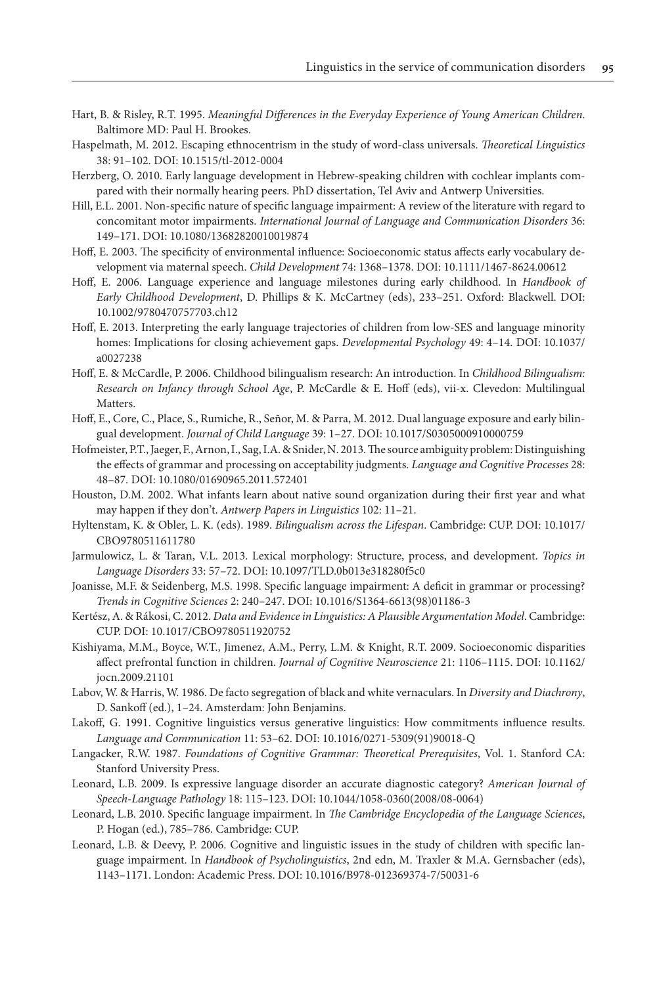- Hart, B. & Risley, R.T. 1995. *Meaningful Differences in the Everyday Experience of Young American Children*. Baltimore MD: Paul H. Brookes.
- Haspelmath, M. 2012. Escaping ethnocentrism in the study of word-class universals. *Theoretical Linguistics* 38: 91–102. DOI: [10.1515/tl-2012-0004](http://dx.doi.org/10.1515/tl-2012-0004)
- Herzberg, O. 2010. Early language development in Hebrew-speaking children with cochlear implants compared with their normally hearing peers. PhD dissertation, Tel Aviv and Antwerp Universities.
- Hill, E.L. 2001. Non-specific nature of specific language impairment: A review of the literature with regard to concomitant motor impairments. *International Journal of Language and Communication Disorders* 36: 149–171. DOI: [10.1080/13682820010019874](http://dx.doi.org/10.1080/13682820010019874)
- Hoff, E. 2003. The specificity of environmental influence: Socioeconomic status affects early vocabulary development via maternal speech. *Child Development* 74: 1368–1378. DOI: [10.1111/1467-8624.00612](http://dx.doi.org/10.1111/1467-8624.00612)
- Hoff, E. 2006. Language experience and language milestones during early childhood. In *Handbook of Early Childhood Development*, D. Phillips & K. McCartney (eds), 233–251. Oxford: Blackwell. DOI: [10.1002/9780470757703.ch12](http://dx.doi.org/10.1002/9780470757703.ch12)
- Hoff, E. 2013. Interpreting the early language trajectories of children from low-SES and language minority homes: Implications for closing achievement gaps. *Developmental Psychology* 49: 4–14. DOI: [10.1037/](http://dx.doi.org/10.1037/a0027238) [a0027238](http://dx.doi.org/10.1037/a0027238)
- Hoff, E. & McCardle, P. 2006. Childhood bilingualism research: An introduction. In *Childhood Bilingualism: Research on Infancy through School Age*, P. McCardle & E. Hoff (eds), vii-x. Clevedon: Multilingual Matters.
- Hoff, E., Core, C., Place, S., Rumiche, R., Señor, M. & Parra, M. 2012. Dual language exposure and early bilingual development. *Journal of Child Language* 39: 1–27. DOI: [10.1017/S0305000910000759](http://dx.doi.org/10.1017/S0305000910000759)
- Hofmeister, P.T., Jaeger, F., Arnon, I., Sag, I.A. & Snider, N. 2013. The source ambiguity problem: Distinguishing the effects of grammar and processing on acceptability judgments. *Language and Cognitive Processes* 28: 48–87. DOI: [10.1080/01690965.2011.572401](http://dx.doi.org/10.1080/01690965.2011.572401)
- Houston, D.M. 2002. What infants learn about native sound organization during their first year and what may happen if they don't. *Antwerp Papers in Linguistics* 102: 11–21.
- Hyltenstam, K. & Obler, L. K. (eds). 1989. *Bilingualism across the Lifespan*. Cambridge: CUP. DOI: [10.1017/](http://dx.doi.org/10.1017/CBO9780511611780) [CBO9780511611780](http://dx.doi.org/10.1017/CBO9780511611780)
- Jarmulowicz, L. & Taran, V.L. 2013. Lexical morphology: Structure, process, and development. *Topics in Language Disorders* 33: 57–72. DOI: [10.1097/TLD.0b013e318280f5c0](http://dx.doi.org/10.1097/TLD.0b013e318280f5c0)
- Joanisse, M.F. & Seidenberg, M.S. 1998. Specific language impairment: A deficit in grammar or processing? *Trends in Cognitive Sciences* 2: 240–247. DOI: [10.1016/S1364-6613\(98\)01186-3](http://dx.doi.org/10.1016/S1364-6613(98)01186-3)
- Kertész, A. & Rákosi, C. 2012. *Data and Evidence in Linguistics: A Plausible Argumentation Model*. Cambridge: CUP. DOI: [10.1017/CBO9780511920752](http://dx.doi.org/10.1017/CBO9780511920752)
- Kishiyama, M.M., Boyce, W.T., Jimenez, A.M., Perry, L.M. & Knight, R.T. 2009. Socioeconomic disparities affect prefrontal function in children. *Journal of Cognitive Neuroscience* 21: 1106–1115. DOI: [10.1162/](http://dx.doi.org/10.1162/jocn.2009.21101) [jocn.2009.21101](http://dx.doi.org/10.1162/jocn.2009.21101)
- Labov, W. & Harris, W. 1986. De facto segregation of black and white vernaculars. In *Diversity and Diachrony*, D. Sankoff (ed.), 1–24. Amsterdam: John Benjamins.
- Lakoff, G. 1991. Cognitive linguistics versus generative linguistics: How commitments influence results. *Language and Communication* 11: 53–62. DOI: 10.1016/0271-5309(91)90018-Q
- Langacker, R.W. 1987. *Foundations of Cognitive Grammar: Theoretical Prerequisites*, Vol. 1. Stanford CA: Stanford University Press.
- Leonard, L.B. 2009. Is expressive language disorder an accurate diagnostic category? *American Journal of Speech-Language Pathology* 18: 115–123. DOI: [10.1044/1058-0360\(2008/08-0064\)](http://dx.doi.org/10.1044/1058-0360(2008/08-0064))
- Leonard, L.B. 2010. Specific language impairment. In *The Cambridge Encyclopedia of the Language Sciences*, P. Hogan (ed.), 785–786. Cambridge: CUP.
- Leonard, L.B. & Deevy, P. 2006. Cognitive and linguistic issues in the study of children with specific language impairment. In *Handbook of Psycholinguistics*, 2nd edn, M. Traxler & M.A. Gernsbacher (eds), 1143–1171. London: Academic Press. DOI: [10.1016/B978-012369374-7/50031-6](http://dx.doi.org/10.1016/B978-012369374-7/50031-6)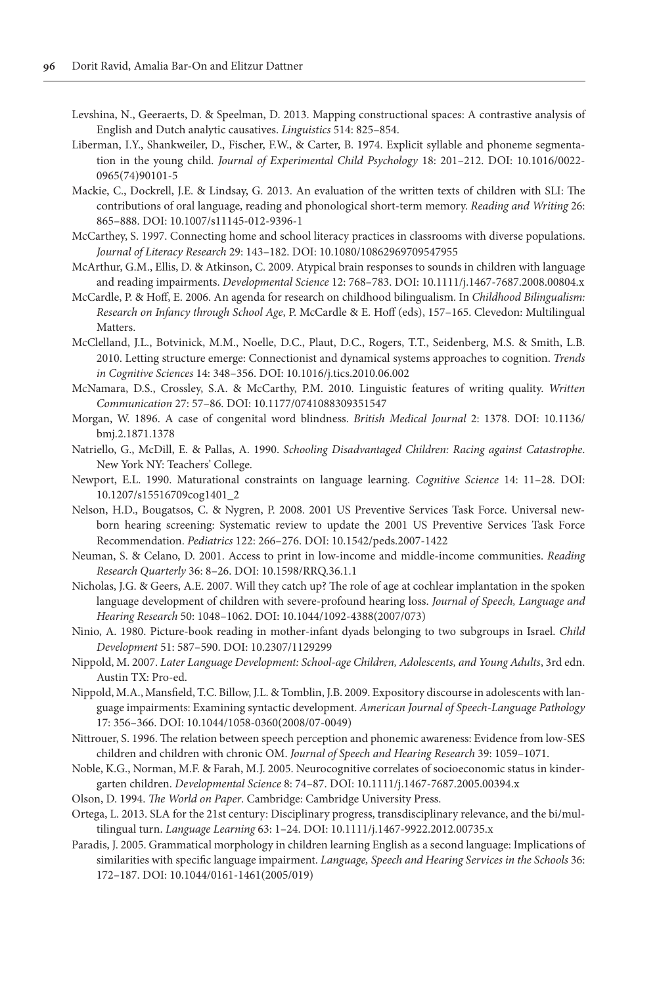- Levshina, N., Geeraerts, D. & Speelman, D. 2013. Mapping constructional spaces: A contrastive analysis of English and Dutch analytic causatives. *Linguistics* 514: 825–854.
- Liberman, I.Y., Shankweiler, D., Fischer, F.W., & Carter, B. 1974. Explicit syllable and phoneme segmentation in the young child. *Journal of Experimental Child Psychology* 18: 201–212. DOI: [10.1016/0022-](http://dx.doi.org/10.1016/0022-0965(74)90101-5) [0965\(74\)90101-5](http://dx.doi.org/10.1016/0022-0965(74)90101-5)
- Mackie, C., Dockrell, J.E. & Lindsay, G. 2013. An evaluation of the written texts of children with SLI: The contributions of oral language, reading and phonological short-term memory. *Reading and Writing* 26: 865–888. DOI: [10.1007/s11145-012-9396-1](http://dx.doi.org/10.1007/s11145-012-9396-1)
- McCarthey, S. 1997. Connecting home and school literacy practices in classrooms with diverse populations. *Journal of Literacy Research* 29: 143–182. DOI: [10.1080/10862969709547955](http://dx.doi.org/10.1080/10862969709547955)
- McArthur, G.M., Ellis, D. & Atkinson, C. 2009. Atypical brain responses to sounds in children with language and reading impairments. *Developmental Science* 12: 768–783. DOI: [10.1111/j.1467-7687.2008.00804.x](http://dx.doi.org/10.1111/j.1467-7687.2008.00804.x)
- McCardle, P. & Hoff, E. 2006. An agenda for research on childhood bilingualism. In *Childhood Bilingualism: Research on Infancy through School Age*, P. McCardle & E. Hoff (eds), 157–165. Clevedon: Multilingual Matters.
- McClelland, J.L., Botvinick, M.M., Noelle, D.C., Plaut, D.C., Rogers, T.T., Seidenberg, M.S. & Smith, L.B. 2010. Letting structure emerge: Connectionist and dynamical systems approaches to cognition. *Trends in Cognitive Sciences* 14: 348–356. DOI: [10.1016/j.tics.2010.06.002](http://dx.doi.org/10.1016/j.tics.2010.06.002)
- McNamara, D.S., Crossley, S.A. & McCarthy, P.M. 2010. Linguistic features of writing quality. *Written Communication* 27: 57–86. DOI: [10.1177/0741088309351547](http://dx.doi.org/10.1177/0741088309351547)
- Morgan, W. 1896. A case of congenital word blindness. *British Medical Journal* 2: 1378. DOI: [10.1136/](http://dx.doi.org/10.1136/bmj.2.1871.1378) [bmj.2.1871.1378](http://dx.doi.org/10.1136/bmj.2.1871.1378)
- Natriello, G., McDill, E. & Pallas, A. 1990. *Schooling Disadvantaged Children: Racing against Catastrophe*. New York NY: Teachers' College.
- Newport, E.L. 1990. Maturational constraints on language learning. *Cognitive Science* 14: 11–28. DOI: [10.1207/s15516709cog1401\\_2](http://dx.doi.org/10.1207/s15516709cog1401_2)
- Nelson, H.D., Bougatsos, C. & Nygren, P. 2008. 2001 US Preventive Services Task Force. Universal newborn hearing screening: Systematic review to update the 2001 US Preventive Services Task Force Recommendation. *Pediatrics* 122: 266–276. DOI: [10.1542/peds.2007-1422](http://dx.doi.org/10.1542/peds.2007-1422)
- Neuman, S. & Celano, D. 2001. Access to print in low-income and middle-income communities. *Reading Research Quarterly* 36: 8–26. DOI: [10.1598/RRQ.36.1.1](http://dx.doi.org/10.1598/RRQ.36.1.1)
- Nicholas, J.G. & Geers, A.E. 2007. Will they catch up? The role of age at cochlear implantation in the spoken language development of children with severe-profound hearing loss. *Journal of Speech, Language and Hearing Research* 50: 1048–1062. DOI: [10.1044/1092-4388\(2007/073\)](http://dx.doi.org/10.1044/1092-4388(2007/073))
- Ninio, A. 1980. Picture-book reading in mother-infant dyads belonging to two subgroups in Israel. *Child Development* 51: 587–590. DOI: [10.2307/1129299](http://dx.doi.org/10.2307/1129299)
- Nippold, M. 2007. *Later Language Development: School-age Children, Adolescents, and Young Adults*, 3rd edn. Austin TX: Pro-ed.
- Nippold, M.A., Mansfield, T.C. Billow, J.L. & Tomblin, J.B. 2009. Expository discourse in adolescents with language impairments: Examining syntactic development. *American Journal of Speech-Language Pathology* 17: 356–366. DOI: [10.1044/1058-0360\(2008/07-0049\)](http://dx.doi.org/10.1044/1058-0360(2008/07-0049))
- Nittrouer, S. 1996. The relation between speech perception and phonemic awareness: Evidence from low-SES children and children with chronic OM. *Journal of Speech and Hearing Research* 39: 1059–1071.
- Noble, K.G., Norman, M.F. & Farah, M.J. 2005. Neurocognitive correlates of socioeconomic status in kindergarten children. *Developmental Science* 8: 74–87. DOI: [10.1111/j.1467-7687.2005.00394.x](http://dx.doi.org/10.1111/j.1467-7687.2005.00394.x)
- Olson, D. 1994. *The World on Paper*. Cambridge: Cambridge University Press.
- Ortega, L. 2013. SLA for the 21st century: Disciplinary progress, transdisciplinary relevance, and the bi/multilingual turn. *Language Learning* 63: 1–24. DOI: [10.1111/j.1467-9922.2012.00735.x](http://dx.doi.org/10.1111/j.1467-9922.2012.00735.x)
- Paradis, J. 2005. Grammatical morphology in children learning English as a second language: Implications of similarities with specific language impairment. *Language, Speech and Hearing Services in the Schools* 36: 172–187. DOI: [10.1044/0161-1461\(2005/019\)](http://dx.doi.org/10.1044/0161-1461(2005/019))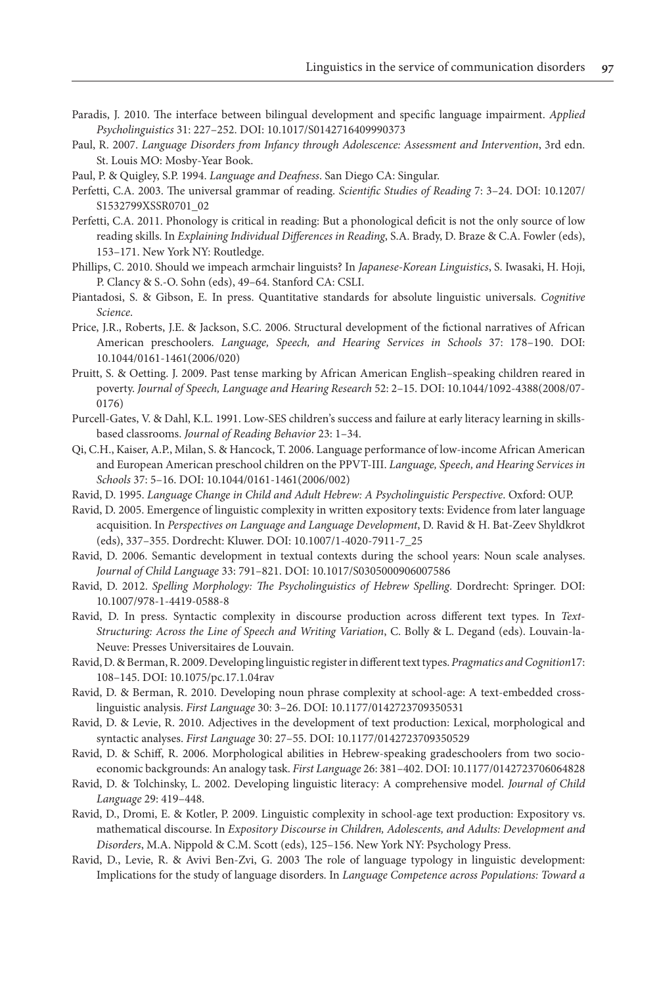- Paradis, J. 2010. The interface between bilingual development and specific language impairment. *Applied Psycholinguistics* 31: 227–252. DOI: [10.1017/S0142716409990373](http://dx.doi.org/10.1017/S0142716409990373)
- Paul, R. 2007. *Language Disorders from Infancy through Adolescence: Assessment and Intervention*, 3rd edn. St. Louis MO: Mosby-Year Book.
- Paul, P. & Quigley, S.P. 1994. *Language and Deafness*. San Diego CA: Singular.
- Perfetti, C.A. 2003. The universal grammar of reading. *Scientific Studies of Reading* 7: 3–24. DOI: [10.1207/](http://dx.doi.org/10.1207/S1532799XSSR0701_02) [S1532799XSSR0701\\_02](http://dx.doi.org/10.1207/S1532799XSSR0701_02)
- Perfetti, C.A. 2011. Phonology is critical in reading: But a phonological deficit is not the only source of low reading skills. In *Explaining Individual Differences in Reading*, S.A. Brady, D. Braze & C.A. Fowler (eds), 153–171. New York NY: Routledge.
- Phillips, C. 2010. Should we impeach armchair linguists? In *Japanese-Korean Linguistics*, S. Iwasaki, H. Hoji, P. Clancy & S.-O. Sohn (eds), 49–64. Stanford CA: CSLI.
- Piantadosi, S. & Gibson, E. In press. Quantitative standards for absolute linguistic universals. *Cognitive Science*.
- Price, J.R., Roberts, J.E. & Jackson, S.C. 2006. Structural development of the fictional narratives of African American preschoolers. *Language, Speech, and Hearing Services in Schools* 37: 178–190. DOI: [10.1044/0161-1461\(2006/020\)](http://dx.doi.org/10.1044/0161-1461(2006/020))
- Pruitt, S. & Oetting. J. 2009. Past tense marking by African American English–speaking children reared in poverty. *Journal of Speech, Language and Hearing Research* 52: 2–15. DOI: [10.1044/1092-4388\(2008/07-](http://dx.doi.org/10.1044/1092-4388(2008/07-0176)) [0176\)](http://dx.doi.org/10.1044/1092-4388(2008/07-0176))
- Purcell-Gates, V. & Dahl, K.L. 1991. Low-SES children's success and failure at early literacy learning in skillsbased classrooms. *Journal of Reading Behavior* 23: 1–34.
- Qi, C.H., Kaiser, A.P., Milan, S. & Hancock, T. 2006. Language performance of low-income African American and European American preschool children on the PPVT-III. *Language, Speech, and Hearing Services in Schools* 37: 5–16. DOI: [10.1044/0161-1461\(2006/002\)](http://dx.doi.org/10.1044/0161-1461(2006/002))
- Ravid, D. 1995. *Language Change in Child and Adult Hebrew: A Psycholinguistic Perspective*. Oxford: OUP.
- Ravid, D. 2005. Emergence of linguistic complexity in written expository texts: Evidence from later language acquisition. In *Perspectives on Language and Language Development*, D. Ravid & H. Bat-Zeev Shyldkrot (eds), 337–355. Dordrecht: Kluwer. DOI: [10.1007/1-4020-7911-7\\_25](http://dx.doi.org/10.1007/1-4020-7911-7_25)
- Ravid, D. 2006. Semantic development in textual contexts during the school years: Noun scale analyses. *Journal of Child Language* 33: 791–821. DOI: [10.1017/S0305000906007586](http://dx.doi.org/10.1017/S0305000906007586)
- Ravid, D. 2012. *Spelling Morphology: The Psycholinguistics of Hebrew Spelling*. Dordrecht: Springer. DOI: [10.1007/978-1-4419-0588-8](http://dx.doi.org/10.1007/978-1-4419-0588-8)
- Ravid, D. In press. Syntactic complexity in discourse production across different text types. In *Text-Structuring: Across the Line of Speech and Writing Variation*, C. Bolly & L. Degand (eds). Louvain-la-Neuve: Presses Universitaires de Louvain.
- Ravid, D. & Berman, R. 2009. Developing linguistic register in different text types. *Pragmatics and Cognition*17: 108–145. DOI: [10.1075/pc.17.1.04rav](http://dx.doi.org/10.1075/pc.17.1.04rav)
- Ravid, D. & Berman, R. 2010. Developing noun phrase complexity at school-age: A text-embedded crosslinguistic analysis. *First Language* 30: 3–26. DOI: [10.1177/0142723709350531](http://dx.doi.org/10.1177/0142723709350531)
- Ravid, D. & Levie, R. 2010. Adjectives in the development of text production: Lexical, morphological and syntactic analyses. *First Language* 30: 27–55. DOI: [10.1177/0142723709350529](http://dx.doi.org/10.1177/0142723709350529)
- Ravid, D. & Schiff, R. 2006. Morphological abilities in Hebrew-speaking gradeschoolers from two socioeconomic backgrounds: An analogy task. *First Language* 26: 381–402. DOI: [10.1177/0142723706064828](http://dx.doi.org/10.1177/0142723706064828)
- Ravid, D. & Tolchinsky, L. 2002. Developing linguistic literacy: A comprehensive model. *Journal of Child Language* 29: 419–448.
- Ravid, D., Dromi, E. & Kotler, P. 2009. Linguistic complexity in school-age text production: Expository vs. mathematical discourse. In *Expository Discourse in Children, Adolescents, and Adults: Development and Disorders*, M.A. Nippold & C.M. Scott (eds), 125–156. New York NY: Psychology Press.
- Ravid, D., Levie, R. & Avivi Ben-Zvi, G. 2003 The role of language typology in linguistic development: Implications for the study of language disorders. In *Language Competence across Populations: Toward a*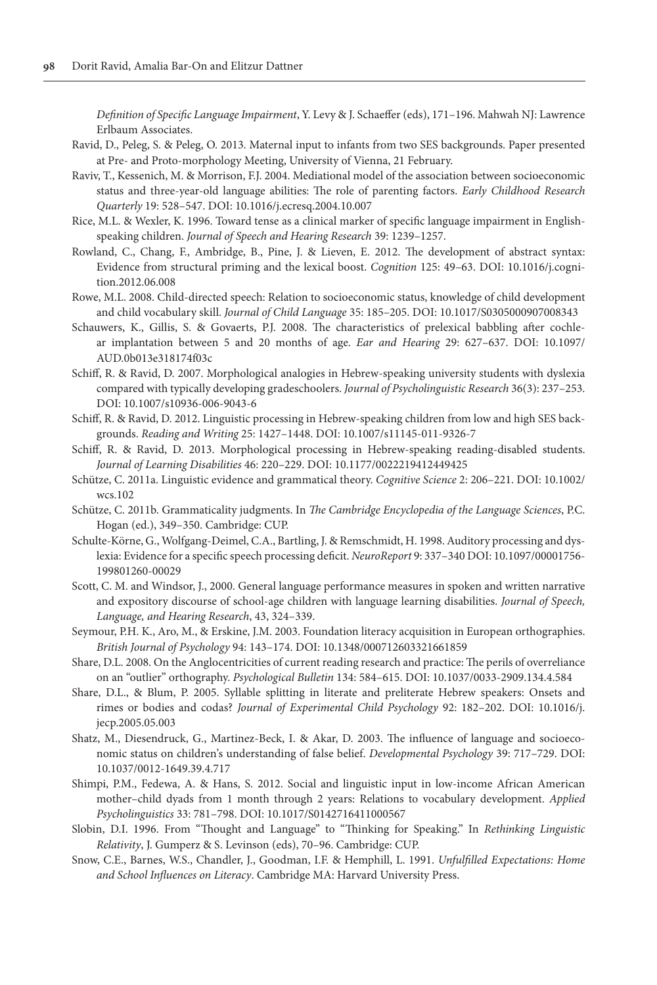*Definition of Specific Language Impairment*, Y. Levy & J. Schaeffer (eds), 171–196. Mahwah NJ: Lawrence Erlbaum Associates.

- Ravid, D., Peleg, S. & Peleg, O. 2013. Maternal input to infants from two SES backgrounds. Paper presented at Pre- and Proto-morphology Meeting, University of Vienna, 21 February.
- Raviv, T., Kessenich, M. & Morrison, F.J. 2004. Mediational model of the association between socioeconomic status and three-year-old language abilities: The role of parenting factors. *Early Childhood Research Quarterly* 19: 528–547. DOI: [10.1016/j.ecresq.2004.10.007](http://dx.doi.org/10.1016/j.ecresq.2004.10.007)
- Rice, M.L. & Wexler, K. 1996. Toward tense as a clinical marker of specific language impairment in Englishspeaking children. *Journal of Speech and Hearing Research* 39: 1239–1257.
- Rowland, C., Chang, F., Ambridge, B., Pine, J. & Lieven, E. 2012. The development of abstract syntax: Evidence from structural priming and the lexical boost. *Cognition* 125: 49–63. DOI: [10.1016/j.cogni](http://dx.doi.org/10.1016/j.cognition.2012.06.008)[tion.2012.06.008](http://dx.doi.org/10.1016/j.cognition.2012.06.008)
- Rowe, M.L. 2008. Child-directed speech: Relation to socioeconomic status, knowledge of child development and child vocabulary skill. *Journal of Child Language* 35: 185–205. DOI: [10.1017/S0305000907008343](http://dx.doi.org/10.1017/S0305000907008343)
- Schauwers, K., Gillis, S. & Govaerts, P.J. 2008. The characteristics of prelexical babbling after cochlear implantation between 5 and 20 months of age. *Ear and Hearing* 29: 627–637. DOI: [10.1097/](http://dx.doi.org/10.1097/AUD.0b013e318174f03c) [AUD.0b013e318174f03c](http://dx.doi.org/10.1097/AUD.0b013e318174f03c)
- Schiff, R. & Ravid, D. 2007. Morphological analogies in Hebrew-speaking university students with dyslexia compared with typically developing gradeschoolers. *Journal of Psycholinguistic Research* 36(3): 237–253. DOI: [10.1007/s10936-006-9043-6](http://dx.doi.org/10.1007/s10936-006-9043-6)
- Schiff, R. & Ravid, D. 2012. Linguistic processing in Hebrew-speaking children from low and high SES backgrounds. *Reading and Writing* 25: 1427–1448. DOI: [10.1007/s11145-011-9326-7](http://dx.doi.org/10.1007/s11145-011-9326-7)
- Schiff, R. & Ravid, D. 2013. Morphological processing in Hebrew-speaking reading-disabled students. *Journal of Learning Disabilities* 46: 220–229. DOI: [10.1177/0022219412449425](http://dx.doi.org/10.1177/0022219412449425)
- Schütze, C. 2011a. Linguistic evidence and grammatical theory. *Cognitive Science* 2: 206–221. DOI: [10.1002/](http://dx.doi.org/10.1002/wcs.102) [wcs.102](http://dx.doi.org/10.1002/wcs.102)
- Schütze, C. 2011b. Grammaticality judgments. In *The Cambridge Encyclopedia of the Language Sciences*, P.C. Hogan (ed.), 349–350. Cambridge: CUP.
- Schulte-Körne, G., Wolfgang-Deimel, C.A., Bartling, J. & Remschmidt, H. 1998. Auditory processing and dyslexia: Evidence for a specific speech processing deficit. *NeuroReport* 9: 337–340 DOI: [10.1097/00001756-](http://dx.doi.org/10.1097/00001756-199801260-00029) [199801260-00029](http://dx.doi.org/10.1097/00001756-199801260-00029)
- Scott, C. M. and Windsor, J., 2000. General language performance measures in spoken and written narrative and expository discourse of school-age children with language learning disabilities. *Journal of Speech, Language, and Hearing Research*, 43, 324–339.
- Seymour, P.H. K., Aro, M., & Erskine, J.M. 2003. Foundation literacy acquisition in European orthographies. *British Journal of Psychology* 94: 143–174. DOI: [10.1348/000712603321661859](http://dx.doi.org/10.1348/000712603321661859)
- Share, D.L. 2008. On the Anglocentricities of current reading research and practice: The perils of overreliance on an "outlier" orthography. *Psychological Bulletin* 134: 584–615. DOI: [10.1037/0033-2909.134.4.584](http://dx.doi.org/10.1037/0033-2909.134.4.584)
- Share, D.L., & Blum, P. 2005. Syllable splitting in literate and preliterate Hebrew speakers: Onsets and rimes or bodies and codas? *Journal of Experimental Child Psychology* 92: 182–202. DOI: [10.1016/j.](http://dx.doi.org/10.1016/j.jecp.2005.05.003) [jecp.2005.05.003](http://dx.doi.org/10.1016/j.jecp.2005.05.003)
- Shatz, M., Diesendruck, G., Martinez-Beck, I. & Akar, D. 2003. The influence of language and socioeconomic status on children's understanding of false belief. *Developmental Psychology* 39: 717–729. DOI: [10.1037/0012-1649.39.4.717](http://dx.doi.org/10.1037/0012-1649.39.4.717)
- Shimpi, P.M., Fedewa, A. & Hans, S. 2012. Social and linguistic input in low-income African American mother–child dyads from 1 month through 2 years: Relations to vocabulary development. *Applied Psycholinguistics* 33: 781–798. DOI: [10.1017/S0142716411000567](http://dx.doi.org/10.1017/S0142716411000567)
- Slobin, D.I. 1996. From "Thought and Language" to "Thinking for Speaking." In *Rethinking Linguistic Relativity*, J. Gumperz & S. Levinson (eds), 70–96. Cambridge: CUP.
- Snow, C.E., Barnes, W.S., Chandler, J., Goodman, I.F. & Hemphill, L. 1991. *Unfulfilled Expectations: Home and School Influences on Literacy*. Cambridge MA: Harvard University Press.